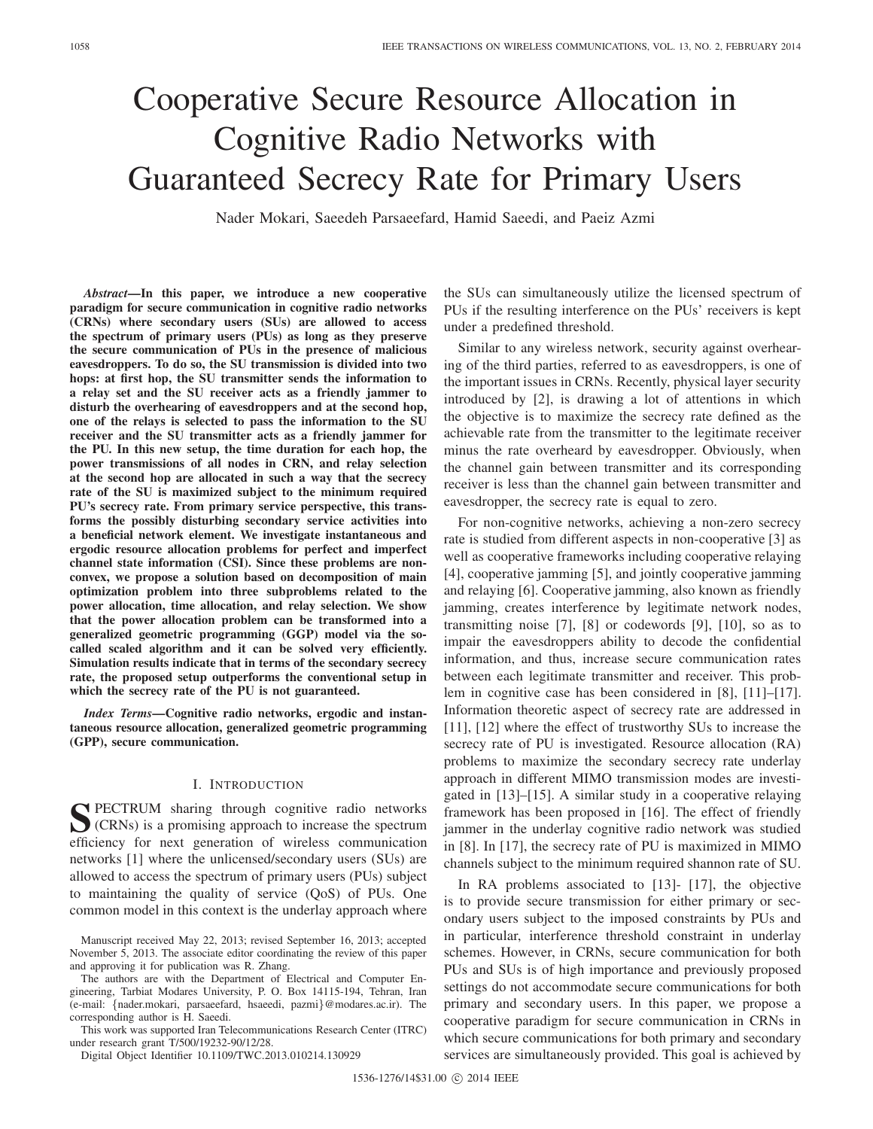# Cooperative Secure Resource Allocation in Cognitive Radio Networks with Guaranteed Secrecy Rate for Primary Users

Nader Mokari, Saeedeh Parsaeefard, Hamid Saeedi, and Paeiz Azmi

*Abstract***—In this paper, we introduce a new cooperative paradigm for secure communication in cognitive radio networks (CRNs) where secondary users (SUs) are allowed to access the spectrum of primary users (PUs) as long as they preserve the secure communication of PUs in the presence of malicious eavesdroppers. To do so, the SU transmission is divided into two hops: at first hop, the SU transmitter sends the information to a relay set and the SU receiver acts as a friendly jammer to disturb the overhearing of eavesdroppers and at the second hop, one of the relays is selected to pass the information to the SU receiver and the SU transmitter acts as a friendly jammer for the PU. In this new setup, the time duration for each hop, the power transmissions of all nodes in CRN, and relay selection at the second hop are allocated in such a way that the secrecy rate of the SU is maximized subject to the minimum required PU's secrecy rate. From primary service perspective, this transforms the possibly disturbing secondary service activities into a beneficial network element. We investigate instantaneous and ergodic resource allocation problems for perfect and imperfect channel state information (CSI). Since these problems are nonconvex, we propose a solution based on decomposition of main optimization problem into three subproblems related to the power allocation, time allocation, and relay selection. We show that the power allocation problem can be transformed into a generalized geometric programming (GGP) model via the socalled scaled algorithm and it can be solved very efficiently. Simulation results indicate that in terms of the secondary secrecy rate, the proposed setup outperforms the conventional setup in which the secrecy rate of the PU is not guaranteed.**

*Index Terms***—Cognitive radio networks, ergodic and instantaneous resource allocation, generalized geometric programming (GPP), secure communication.**

# I. INTRODUCTION

**S**PECTRUM sharing through cognitive radio networks (CRNs) is a promising approach to increase the spectrum efficiency for next generation of wireless communication networks [1] where the unlicensed/secondary users (SUs) are allowed to access the spectrum of primary users (PUs) subject to maintaining the quality of service (QoS) of PUs. One common model in this context is the underlay approach where

The authors are with the Department of Electrical and Computer Engineering, Tarbiat Modares University, P. O. Box 14115-194, Tehran, Iran (e-mail: {nader.mokari, parsaeefard, hsaeedi, pazmi}@modares.ac.ir). The corresponding author is H. Saeedi.

This work was supported Iran Telecommunications Research Center (ITRC) under research grant T/500/19232-90/12/28.

Digital Object Identifier 10.1109/TWC.2013.010214.130929

the SUs can simultaneously utilize the licensed spectrum of PUs if the resulting interference on the PUs' receivers is kept under a predefined threshold.

Similar to any wireless network, security against overhearing of the third parties, referred to as eavesdroppers, is one of the important issues in CRNs. Recently, physical layer security introduced by [2], is drawing a lot of attentions in which the objective is to maximize the secrecy rate defined as the achievable rate from the transmitter to the legitimate receiver minus the rate overheard by eavesdropper. Obviously, when the channel gain between transmitter and its corresponding receiver is less than the channel gain between transmitter and eavesdropper, the secrecy rate is equal to zero.

For non-cognitive networks, achieving a non-zero secrecy rate is studied from different aspects in non-cooperative [3] as well as cooperative frameworks including cooperative relaying [4], cooperative jamming [5], and jointly cooperative jamming and relaying [6]. Cooperative jamming, also known as friendly jamming, creates interference by legitimate network nodes, transmitting noise [7], [8] or codewords [9], [10], so as to impair the eavesdroppers ability to decode the confidential information, and thus, increase secure communication rates between each legitimate transmitter and receiver. This problem in cognitive case has been considered in [8], [11]–[17]. Information theoretic aspect of secrecy rate are addressed in [11], [12] where the effect of trustworthy SUs to increase the secrecy rate of PU is investigated. Resource allocation (RA) problems to maximize the secondary secrecy rate underlay approach in different MIMO transmission modes are investigated in [13]–[15]. A similar study in a cooperative relaying framework has been proposed in [16]. The effect of friendly jammer in the underlay cognitive radio network was studied in [8]. In [17], the secrecy rate of PU is maximized in MIMO channels subject to the minimum required shannon rate of SU.

In RA problems associated to [13]- [17], the objective is to provide secure transmission for either primary or secondary users subject to the imposed constraints by PUs and in particular, interference threshold constraint in underlay schemes. However, in CRNs, secure communication for both PUs and SUs is of high importance and previously proposed settings do not accommodate secure communications for both primary and secondary users. In this paper, we propose a cooperative paradigm for secure communication in CRNs in which secure communications for both primary and secondary services are simultaneously provided. This goal is achieved by

Manuscript received May 22, 2013; revised September 16, 2013; accepted November 5, 2013. The associate editor coordinating the review of this paper and approving it for publication was R. Zhang.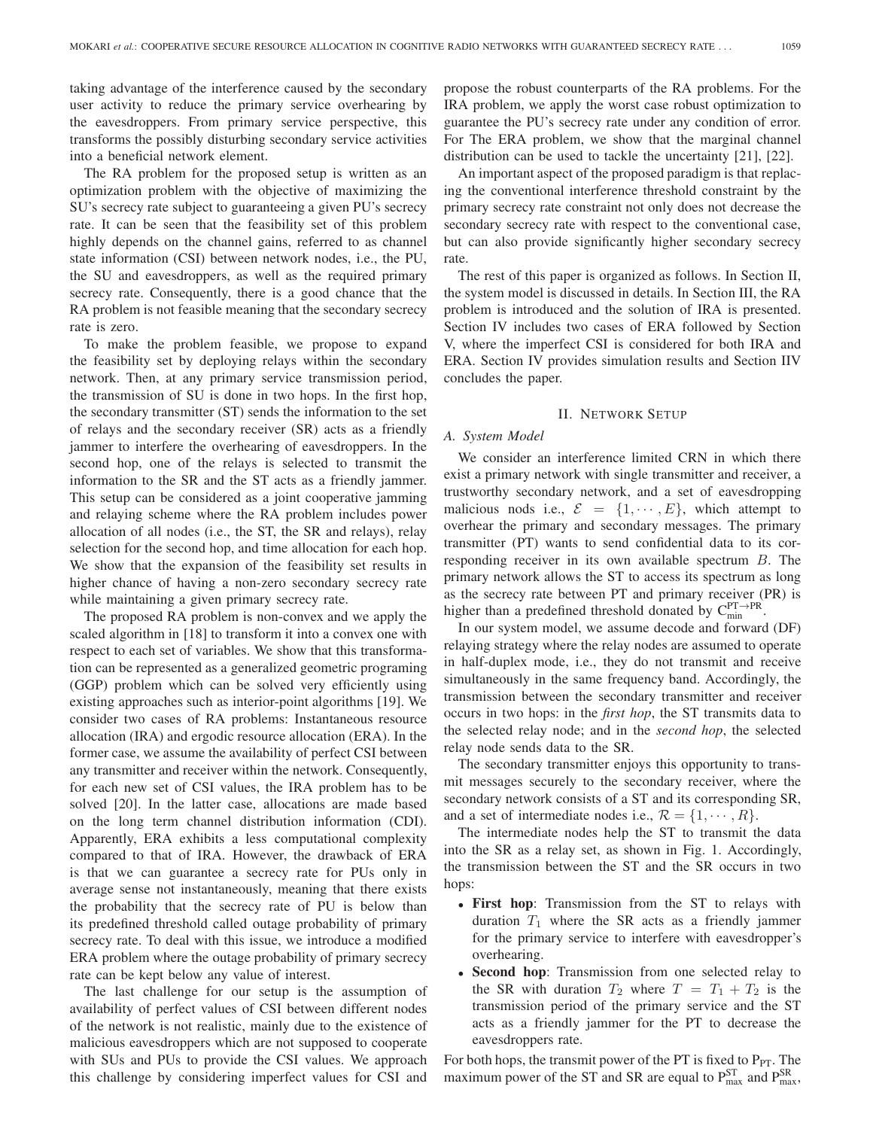taking advantage of the interference caused by the secondary user activity to reduce the primary service overhearing by the eavesdroppers. From primary service perspective, this transforms the possibly disturbing secondary service activities into a beneficial network element.

The RA problem for the proposed setup is written as an optimization problem with the objective of maximizing the SU's secrecy rate subject to guaranteeing a given PU's secrecy rate. It can be seen that the feasibility set of this problem highly depends on the channel gains, referred to as channel state information (CSI) between network nodes, i.e., the PU, the SU and eavesdroppers, as well as the required primary secrecy rate. Consequently, there is a good chance that the RA problem is not feasible meaning that the secondary secrecy rate is zero.

To make the problem feasible, we propose to expand the feasibility set by deploying relays within the secondary network. Then, at any primary service transmission period, the transmission of SU is done in two hops. In the first hop, the secondary transmitter (ST) sends the information to the set of relays and the secondary receiver (SR) acts as a friendly jammer to interfere the overhearing of eavesdroppers. In the second hop, one of the relays is selected to transmit the information to the SR and the ST acts as a friendly jammer. This setup can be considered as a joint cooperative jamming and relaying scheme where the RA problem includes power allocation of all nodes (i.e., the ST, the SR and relays), relay selection for the second hop, and time allocation for each hop. We show that the expansion of the feasibility set results in higher chance of having a non-zero secondary secrecy rate while maintaining a given primary secrecy rate.

The proposed RA problem is non-convex and we apply the scaled algorithm in [18] to transform it into a convex one with respect to each set of variables. We show that this transformation can be represented as a generalized geometric programing (GGP) problem which can be solved very efficiently using existing approaches such as interior-point algorithms [19]. We consider two cases of RA problems: Instantaneous resource allocation (IRA) and ergodic resource allocation (ERA). In the former case, we assume the availability of perfect CSI between any transmitter and receiver within the network. Consequently, for each new set of CSI values, the IRA problem has to be solved [20]. In the latter case, allocations are made based on the long term channel distribution information (CDI). Apparently, ERA exhibits a less computational complexity compared to that of IRA. However, the drawback of ERA is that we can guarantee a secrecy rate for PUs only in average sense not instantaneously, meaning that there exists the probability that the secrecy rate of PU is below than its predefined threshold called outage probability of primary secrecy rate. To deal with this issue, we introduce a modified ERA problem where the outage probability of primary secrecy rate can be kept below any value of interest.

The last challenge for our setup is the assumption of availability of perfect values of CSI between different nodes of the network is not realistic, mainly due to the existence of malicious eavesdroppers which are not supposed to cooperate with SUs and PUs to provide the CSI values. We approach this challenge by considering imperfect values for CSI and

propose the robust counterparts of the RA problems. For the IRA problem, we apply the worst case robust optimization to guarantee the PU's secrecy rate under any condition of error. For The ERA problem, we show that the marginal channel distribution can be used to tackle the uncertainty [21], [22].

An important aspect of the proposed paradigm is that replacing the conventional interference threshold constraint by the primary secrecy rate constraint not only does not decrease the secondary secrecy rate with respect to the conventional case, but can also provide significantly higher secondary secrecy rate.

The rest of this paper is organized as follows. In Section II, the system model is discussed in details. In Section III, the RA problem is introduced and the solution of IRA is presented. Section IV includes two cases of ERA followed by Section V, where the imperfect CSI is considered for both IRA and ERA. Section IV provides simulation results and Section IIV concludes the paper.

#### II. NETWORK SETUP

#### *A. System Model*

We consider an interference limited CRN in which there exist a primary network with single transmitter and receiver, a trustworthy secondary network, and a set of eavesdropping malicious nods i.e.,  $\mathcal{E} = \{1, \dots, E\}$ , which attempt to overhear the primary and secondary messages. The primary transmitter (PT) wants to send confidential data to its corresponding receiver in its own available spectrum B. The primary network allows the ST to access its spectrum as long as the secrecy rate between PT and primary receiver (PR) is higher than a predefined threshold donated by  $C_{\min}^{PT \rightarrow PR}$ .

In our system model, we assume decode and forward (DF) relaying strategy where the relay nodes are assumed to operate in half-duplex mode, i.e., they do not transmit and receive simultaneously in the same frequency band. Accordingly, the transmission between the secondary transmitter and receiver occurs in two hops: in the *first hop*, the ST transmits data to the selected relay node; and in the *second hop*, the selected relay node sends data to the SR.

The secondary transmitter enjoys this opportunity to transmit messages securely to the secondary receiver, where the secondary network consists of a ST and its corresponding SR, and a set of intermediate nodes i.e.,  $\mathcal{R} = \{1, \dots, R\}.$ 

The intermediate nodes help the ST to transmit the data into the SR as a relay set, as shown in Fig. 1. Accordingly, the transmission between the ST and the SR occurs in two hops:

- **First hop**: Transmission from the ST to relays with duration  $T_1$  where the SR acts as a friendly jammer for the primary service to interfere with eavesdropper's overhearing.
- **Second hop**: Transmission from one selected relay to the SR with duration  $T_2$  where  $T = T_1 + T_2$  is the transmission period of the primary service and the ST acts as a friendly jammer for the PT to decrease the eavesdroppers rate.

For both hops, the transmit power of the PT is fixed to  $P_{PT}$ . The maximum power of the ST and SR are equal to  $P_{\text{max}}^{\text{ST}}$  and  $P_{\text{max}}^{\text{SR}}$ ,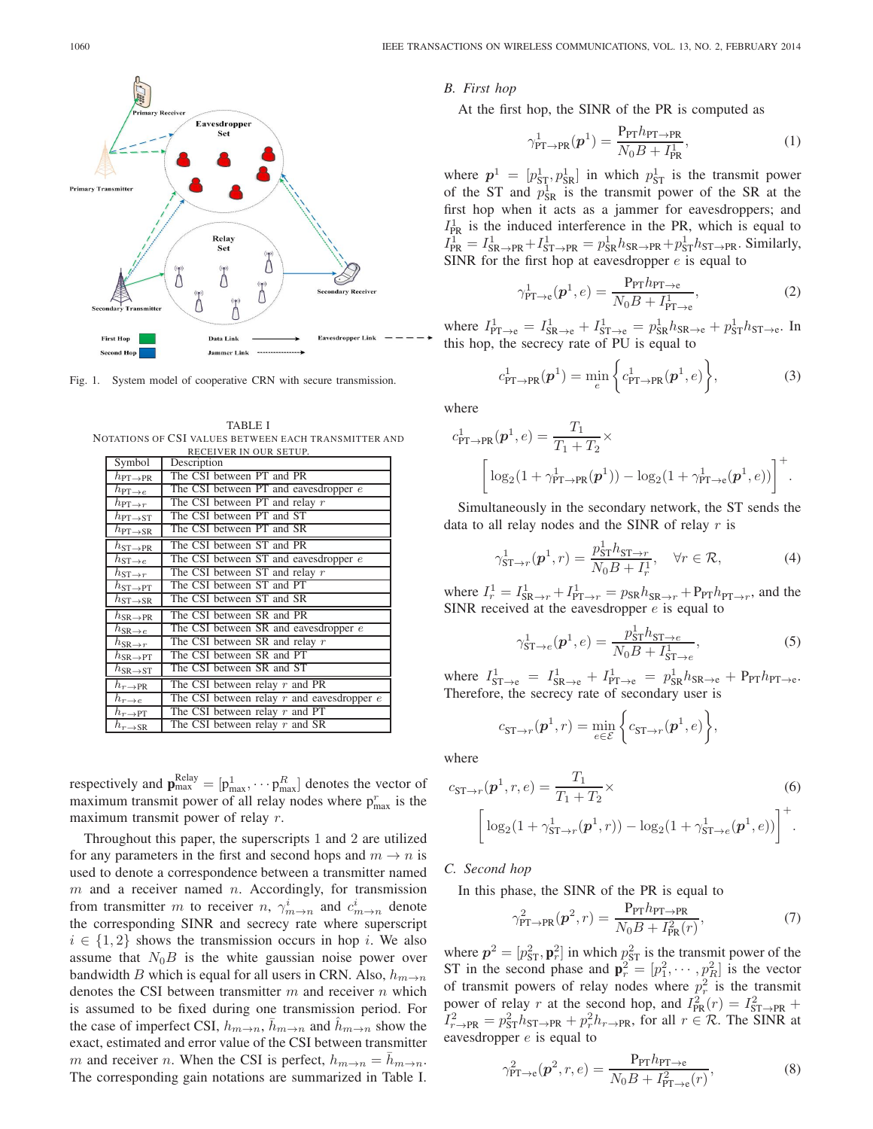

Fig. 1. System model of cooperative CRN with secure transmission.

TABLE I NOTATIONS OF CSI VALUES BETWEEN EACH TRANSMITTER AND RECEIVER IN OUR SETUP.

|                                     | .                                                    |
|-------------------------------------|------------------------------------------------------|
| Symbol                              | Description                                          |
| $h_{\text{PT}\rightarrow\text{PR}}$ | The CSI between PT and PR                            |
| $h_{\text{PT}\rightarrow e}$        | The CSI between $\overline{PT}$ and eavesdropper $e$ |
| $h_{\text{PT}\to r}$                | The CSI between PT and relay r                       |
| $h_{\text{PT}\rightarrow\text{ST}}$ | The CSI between PT and ST                            |
| $h_{\text{PT}\rightarrow\text{SR}}$ | The CSI between PT and SR                            |
| $h_{\text{ST}\rightarrow\text{PR}}$ | The CSI between ST and PR                            |
| $h_{\text{ST}\rightarrow e}$        | The CSI between ST and eavesdropper $e$              |
| $h_{\text{ST}\rightarrow r}$        | The CSI between ST and relay r                       |
| $h_{\text{ST}\rightarrow\text{PT}}$ | The CSI between ST and PT                            |
| $h_{\text{ST}\rightarrow\text{SR}}$ | The CSI between ST and SR                            |
| $h_{\text{SR}\rightarrow\text{PR}}$ | The CSI between SR and PR                            |
| $h_{\text{SR}\rightarrow e}$        | The CSI between SR and eavesdropper e                |
| $\overline{h}_{\text{SR}\to r}$     | The CSI between SR and relay r                       |
| $h_{\text{SR}\rightarrow\text{PT}}$ | The CSI between SR and PT                            |
| $h_{\text{SR}\rightarrow\text{ST}}$ | The CSI between SR and ST                            |
| $h_{r\to PR}$                       | The CSI between relay $r$ and PR                     |
| $h_{r\to e}$                        | The CSI between relay $r$ and eavesdropper $e$       |
| $h_{r\to PT}$                       | The CSI between relay $r$ and PT                     |
| $h_{r\rightarrow\text{SR}}$         | The CSI between relay $r$ and SR                     |
|                                     |                                                      |

respectively and  $\mathbf{p}_{\text{max}}^{\text{Relay}} = [\mathbf{p}_{\text{max}}^1, \cdots, \mathbf{p}_{\text{max}}^R]$  denotes the vector of maximum transmit power of all relay nodes where  $\mathbf{p}_i^r$  is the maximum transmit power of all relay nodes where  $p_{max}^r$  is the maximum transmit power of relay r.

Throughout this paper, the superscripts 1 and 2 are utilized for any parameters in the first and second hops and  $m \to n$  is used to denote a correspondence between a transmitter named  $m$  and a receiver named  $n$ . Accordingly, for transmission from transmitter *m* to receiver *n*,  $\gamma_{m\to n}^i$  and  $c_{m\to n}^i$  denote the corresponding SINR and secrecy rate where superscript  $i \in \{1, 2\}$  shows the transmission occurs in hop i. We also assume that  $N_0B$  is the white gaussian noise power over bandwidth B which is equal for all users in CRN. Also,  $h_{m\to n}$ denotes the CSI between transmitter  $m$  and receiver  $n$  which is assumed to be fixed during one transmission period. For the case of imperfect CSI,  $h_{m\to n}$ ,  $\bar{h}_{m\to n}$  and  $\hat{h}_{m\to n}$  show the exact, estimated and error value of the CSI between transmitter m and receiver n. When the CSI is perfect,  $h_{m\to n} = h_{m\to n}$ . The corresponding gain notations are summarized in Table I.

#### *B. First hop*

At the first hop, the SINR of the PR is computed as

$$
\gamma_{\text{PT}\to\text{PR}}^1(\boldsymbol{p}^1) = \frac{\text{P}_{\text{PT}} h_{\text{PT}\to\text{PR}}}{N_0 B + I_{\text{PR}}^1},\tag{1}
$$

where  $p^1 = [p_{ST}^1, p_{SR}^1]$  in which  $p_{ST}^1$  is the transmit power<br>of the ST and  $p_1^1$  is the transmit power of the SR at the of the ST and  $p_{SR}^1$  is the transmit power of the SR at the first hop when it acts as a jammer for eavesdroppers; and  $I_{PR}^1$  is the induced interference in the PR, which is equal to  $I_{PR}^{\hat{11}} = I_{SR\rightarrow PR}^1 + I_{ST\rightarrow PR}^1 = p_{SR}^1 h_{SR\rightarrow PR} + p_{ST}^1 h_{ST\rightarrow PR}$ . Similarly,<br>SINIR for the first hop at equal to equal to SINR for the first hop at eavesdropper  $e$  is equal to

$$
\gamma_{\text{PT}\to\text{e}}^1(\boldsymbol{p}^1, e) = \frac{\text{P}_{\text{PT}} h_{\text{PT}\to\text{e}}}{N_0 B + I_{\text{PT}\to\text{e}}^1},\tag{2}
$$

where  $I_{\text{PT}\rightarrow e}^1 = I_{\text{SR}\rightarrow e}^1 + I_{\text{ST}\rightarrow e}^1 = p_{\text{SR}}^1 h_{\text{SR}\rightarrow e} + p_{\text{ST}}^1 h_{\text{ST}\rightarrow e}$ . In this bon the secrecy rate of PH is equal to this hop, the secrecy rate of PU is equal to

$$
c_{\text{PT}\to\text{PR}}^1(\boldsymbol{p}^1) = \min_e \left\{ c_{\text{PT}\to\text{PR}}^1(\boldsymbol{p}^1, e) \right\},\tag{3}
$$

where

$$
c_{\text{PT}\to\text{PR}}^1(\boldsymbol{p}^1, e) = \frac{T_1}{T_1 + T_2} \times \left[ \log_2(1 + \gamma_{\text{PT}\to\text{PR}}^1(\boldsymbol{p}^1)) - \log_2(1 + \gamma_{\text{PT}\to\text{e}}^1(\boldsymbol{p}^1, e)) \right]^+.
$$

Simultaneously in the secondary network, the ST sends the data to all relay nodes and the SINR of relay  $r$  is

$$
\gamma_{\text{ST}\to r}^1(\boldsymbol{p}^1, r) = \frac{p_{\text{ST}}^1 h_{\text{ST}\to r}}{N_0 B + I_r^1}, \quad \forall r \in \mathcal{R},
$$
\n(4)

where  $I_r^1 = I_{SR \to r}^1 + I_{PT \to r}^1 = p_{SR} h_{SR \to r} + P_{PT} h_{PT \to r}$ , and the SINR received at the equestropper e is equal to SINR received at the eavesdropper e is equal to

$$
\gamma_{\text{ST}\to e}^1(\boldsymbol{p}^1, e) = \frac{p_{\text{ST}}^1 h_{\text{ST}\to e}}{N_0 B + I_{\text{ST}\to e}^1},\tag{5}
$$

where  $I_{ST\to e}^1 = I_{SR\to e}^1 + I_{PT\to e}^1 = p_{SR}^1 h_{SR\to e} + P_{PT} h_{PT\to e}$ .<br>Therefore, the secrecy rate of secondary user is

$$
c_{\text{ST}\to r}(\boldsymbol{p}^1, r) = \min_{e \in \mathcal{E}} \left\{ c_{\text{ST}\to r}(\boldsymbol{p}^1, e) \right\},\
$$

where

$$
c_{\text{ST}\to r}(\mathbf{p}^1, r, e) = \frac{T_1}{T_1 + T_2} \times
$$
\n
$$
\left[ \log_2(1 + \gamma_{\text{ST}\to r}^1(\mathbf{p}^1, r)) - \log_2(1 + \gamma_{\text{ST}\to e}^1(\mathbf{p}^1, e)) \right]^+.
$$
\n(6)

*C. Second hop*

In this phase, the SINR of the PR is equal to

$$
\gamma_{\text{PT}\to\text{PR}}^2(\boldsymbol{p}^2,\boldsymbol{r}) = \frac{\text{P}_{\text{PT}}h_{\text{PT}\to\text{PR}}}{N_0B + I_{\text{PR}}^2(\boldsymbol{r})},\tag{7}
$$

where  $p^2 = [p_{ST}^2, \mathbf{p}_r^2]$  in which  $p_{ST}^2$  is the transmit power of the ST in the second phase and  $\mathbf{n}^2 = [n^2, \dots, n^2]$  is the vector ST in the second phase and  $\mathbf{p}_r^2 = [p_1^2, \cdots, p_R^2]$  is the vector<br>of transmit powers of relay nodes where  $n^2$  is the transmit of transmit powers of relay nodes where  $p_r^2$  is the transmit power of relay r at the second hop, and  $I_{PR}^2(r) = I_S^2$ <br>  $I^2 = -n^2$  hop,  $\text{p} + n^2h$  and for all  $r \in \mathcal{R}$ . The From Figure 1 at the second hop, and  $I_{PR}(t) = I_{ST\rightarrow PR} + I_{r\rightarrow PR}^2 = p_{ST}^2 h_{ST\rightarrow PR} + p_r^2 h_{r\rightarrow PR}$ , for all  $r \in \mathcal{R}$ . The SINR at equationmer e is equal to eavesdropper e is equal to

$$
\gamma_{\text{PT}\to\text{e}}^2(\boldsymbol{p}^2, r, e) = \frac{\text{P}_{\text{PT}} h_{\text{PT}\to\text{e}}}{N_0 B + I_{\text{PT}\to\text{e}}^2(r)},\tag{8}
$$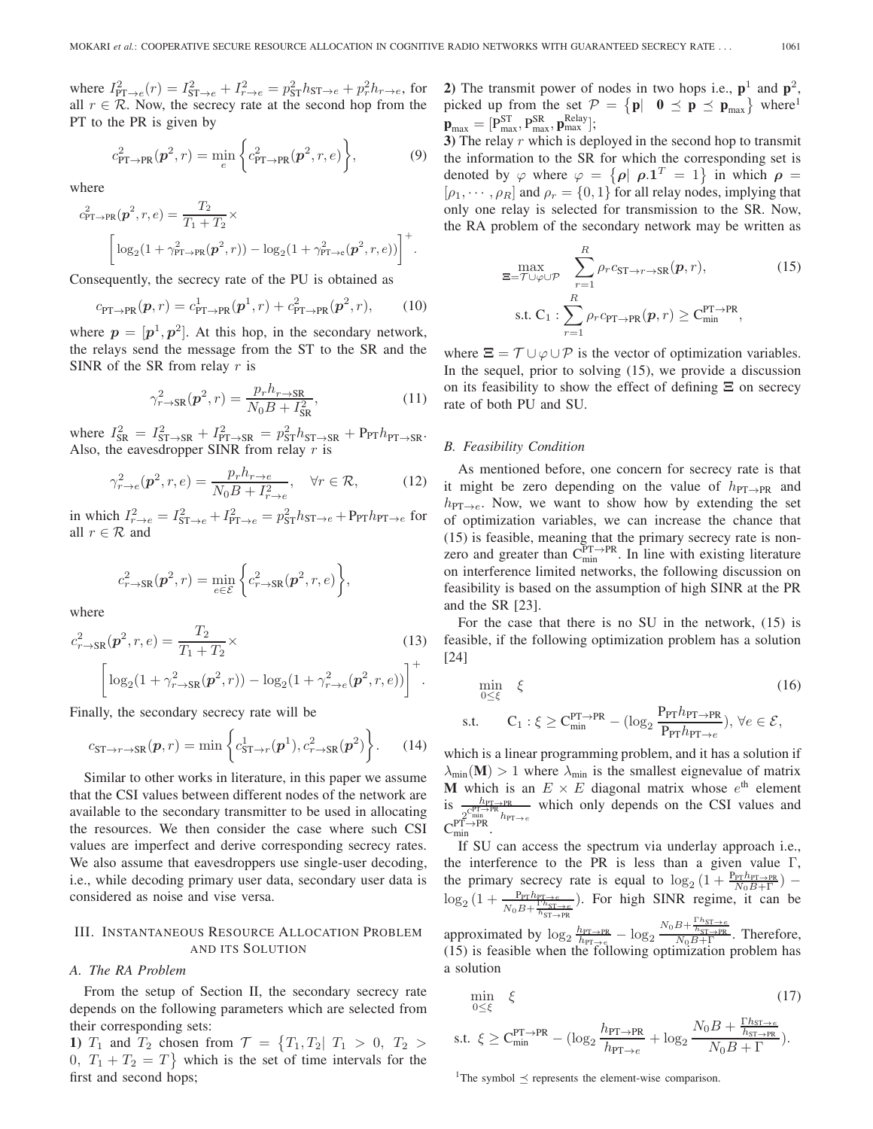where  $I_{\text{PT}\to e}^2(r) = I_{\text{ST}\to e}^2 + I_{r\to e}^2 = p_{\text{ST}}^2 h_{\text{ST}\to e} + p_r^2 h_{r\to e}$ , for all  $r \in \mathcal{R}$ . Now the secrecy rate at the second hop from the all  $r \in \mathcal{R}$ . Now, the secrecy rate at the second hop from the PT to the PR is given by

$$
c_{\text{PT}\to\text{PR}}^2(\boldsymbol{p}^2,r)=\min_e \left\{c_{\text{PT}\to\text{PR}}^2(\boldsymbol{p}^2,r,e)\right\},\tag{9}
$$

where

$$
c_{\text{PT}\to\text{PR}}^2(\boldsymbol{p}^2, r, e) = \frac{T_2}{T_1 + T_2} \times \left[ \log_2(1 + \gamma_{\text{PT}\to\text{PR}}^2(\boldsymbol{p}^2, r)) - \log_2(1 + \gamma_{\text{PT}\to e}^2(\boldsymbol{p}^2, r, e)) \right]^+.
$$

Consequently, the secrecy rate of the PU is obtained as

$$
c_{\text{PT}\to\text{PR}}(\boldsymbol{p},r) = c_{\text{PT}\to\text{PR}}^1(\boldsymbol{p}^1,r) + c_{\text{PT}\to\text{PR}}^2(\boldsymbol{p}^2,r),\qquad(10)
$$

where  $p = [p^1, p^2]$ . At this hop, in the secondary network, the relays send the message from the ST to the SR and the SINR of the SR from relay  $r$  is

$$
\gamma_{r \to \text{SR}}^2(\boldsymbol{p}^2, r) = \frac{p_r h_{r \to \text{SR}}}{N_0 B + I_{\text{SR}}^2},\tag{11}
$$

where  $I_{SR}^2 = I_{ST \to SR}^2 + I_{PT \to SR}^2 = p_{ST}^2 h_{ST \to SR} + P_{PT} h_{PT \to SR}$ .<br>Also, the eavesdropper SINR from relay r is

$$
\gamma_{r \to e}^2(\mathbf{p}^2, r, e) = \frac{p_r h_{r \to e}}{N_0 B + I_{r \to e}^2}, \quad \forall r \in \mathcal{R}, \tag{12}
$$

in which  $I_{r \to e}^2 = I_{ST \to e}^2 + I_{PT \to e}^2 = p_{ST}^2 h_{ST \to e} + P_{PT} h_{PT \to e}$  for all  $r \in \mathcal{P}$  and all  $r \in \mathcal{R}$  and

$$
c_{r \to \text{SR}}^2(\boldsymbol{p}^2, r) = \min_{e \in \mathcal{E}} \left\{ c_{r \to \text{SR}}^2(\boldsymbol{p}^2, r, e) \right\},\,
$$

where

$$
c_{r \to \text{SR}}^2(\boldsymbol{p}^2, r, e) = \frac{T_2}{T_1 + T_2} \times
$$
\n
$$
\left[ \log_2(1 + \gamma_{r \to \text{SR}}^2(\boldsymbol{p}^2, r)) - \log_2(1 + \gamma_{r \to e}^2(\boldsymbol{p}^2, r, e)) \right]^+.
$$
\n(13)

Finally, the secondary secrecy rate will be

$$
c_{\text{ST}\to r\to\text{SR}}(\boldsymbol{p},r) = \min\left\{c_{\text{ST}\to r}^1(\boldsymbol{p}^1), c_{r\to\text{SR}}^2(\boldsymbol{p}^2)\right\}.
$$
 (14)

Similar to other works in literature, in this paper we assume that the CSI values between different nodes of the network are available to the secondary transmitter to be used in allocating the resources. We then consider the case where such CSI values are imperfect and derive corresponding secrecy rates. We also assume that eavesdroppers use single-user decoding, i.e., while decoding primary user data, secondary user data is considered as noise and vise versa.

# III. INSTANTANEOUS RESOURCE ALLOCATION PROBLEM AND ITS SOLUTION

#### *A. The RA Problem*

From the setup of Section II, the secondary secrecy rate depends on the following parameters which are selected from their corresponding sets:

**1)**  $T_1$  and  $T_2$  chosen from  $\mathcal{T} = \{T_1, T_2 | T_1 > 0, T_2 > 0 \}$ <br>  $T_1 + T_2 - T_1$  which is the set of time intervals for the  $0, T_1 + T_2 = T$  which is the set of time intervals for the first and second hops;

**2**) The transmit power of nodes in two hops i.e.,  $p<sup>1</sup>$  and  $p<sup>2</sup>$ , picked up from the set  $\mathcal{P} = \{ \mathbf{p} | \mathbf{0} \preceq \mathbf{p} \preceq \mathbf{p}_{\text{max}} \}$  where<sup>1</sup>  $\mathbf{p}_{\text{max}} = [\mathbf{P}_{\text{max}}^{\text{ST}}, \mathbf{P}_{\text{max}}^{\text{SR}}, \mathbf{p}_{\text{max}}^{\text{Relay}}];$ <br>3) The relay *r* which is det

**3)** The relay r which is deployed in the second hop to transmit the information to the SR for which the corresponding set is denoted by  $\varphi$  where  $\varphi = {\rho | \rho.1^T = 1}$  in which  $\rho =$  $[\rho_1, \cdots, \rho_R]$  and  $\rho_r = \{0, 1\}$  for all relay nodes, implying that only one relay is selected for transmission to the SR. Now, the RA problem of the secondary network may be written as

$$
\max_{\Xi = \mathcal{T} \cup \varphi \cup \mathcal{P}} \sum_{r=1}^{R} \rho_r c_{\text{ST} \to r \to \text{SR}}(\boldsymbol{p}, r),
$$
(15)  
s.t.  $C_1 : \sum_{r=1}^{R} \rho_r c_{\text{PT} \to \text{PR}}(\boldsymbol{p}, r) \ge C_{\text{min}}^{\text{PT} \to \text{PR}},$ 

where  $\Xi = \mathcal{T} \cup \varphi \cup \mathcal{P}$  is the vector of optimization variables. In the sequel, prior to solving (15), we provide a discussion on its feasibility to show the effect of defining **Ξ** on secrecy rate of both PU and SU.

# *B. Feasibility Condition*

As mentioned before, one concern for secrecy rate is that it might be zero depending on the value of  $h_{PT\rightarrow PR}$  and  $h_{PT\rightarrow e}$ . Now, we want to show how by extending the set of optimization variables, we can increase the chance that (15) is feasible, meaning that the primary secrecy rate is nonzero and greater than  $C_{\min}^{PT \to PR}$ . In line with existing literature on interference limited networks, the following discussion on feasibility is based on the assumption of high SINR at the PR and the SR [23].

For the case that there is no SU in the network, (15) is feasible, if the following optimization problem has a solution [24]

$$
\min_{0 \le \xi} \quad \xi \tag{16}
$$

$$
\text{s.t.} \qquad C_1: \xi \geq C_{\min}^{\text{PT} \rightarrow \text{PR}} - (\log_2 \frac{P_{\text{PT}} h_{\text{PT} \rightarrow \text{PR}}}{P_{\text{PT}} h_{\text{PT} \rightarrow e}}), \, \forall e \in \mathcal{E},
$$

which is a linear programming problem, and it has a solution if  $\lambda_{\min}(\mathbf{M}) > 1$  where  $\lambda_{\min}$  is the smallest eignevalue of matrix **M** which is an  $E \times E$  diagonal matrix whose  $e^{\text{th}}$  element is  $\frac{h_{\text{PT}\rightarrow\text{PR}}}{2C_{\text{min}}^{\text{PT}\rightarrow\text{PR}}h_{\text{PT}\rightarrow e}}$  which only depends on the CSI values and  $\mathrm{C}_{\mathrm{min}}^{\mathrm{PT}\rightarrow\mathrm{PR}}$ .

If SU can access the spectrum via underlay approach i.e., the interference to the PR is less than a given value Γ,<br>the primary secrecy rate is equal to  $\log (1 + \frac{Prh_{\text{PT}}-PR}{P} )$ the primary secrecy rate is equal to  $\log_2 (1 + \frac{Pr h_{PT\rightarrow PR}}{N_0F + \Gamma} \log_2 (1 + \frac{P_{\text{Pr}} h_{\text{PT}\to e}}{N_0 B + \frac{\Gamma h_{\text{ST}\to e}}{h_{\text{ST}\to\text{PR}}}})$ . For high SINR regime, it can be

approximated by  $\log_2 \frac{h_{\text{PT}\rightarrow \text{PR}}}{h_{\text{PT}\rightarrow e}} - \log_2 \frac{N_0 B + \frac{\Gamma h_{\text{ST}\rightarrow \text{PR}}}{h_{\text{ST}\rightarrow \text{PR}}}}{N_0 B + \Gamma}$ . Therefore, (15) is feasible when the following optimization problem has a solution

$$
\min_{0 \le \xi} \quad \xi \tag{17}
$$

s.t. 
$$
\xi \geq C_{\min}^{PT \to PR} - (\log_2 \frac{h_{PT \to PR}}{h_{PT \to e}} + \log_2 \frac{N_0 B + \frac{\Gamma h_{ST \to e}}{h_{ST \to PR}}}{N_0 B + \Gamma}).
$$

<sup>1</sup>The symbol  $\preceq$  represents the element-wise comparison.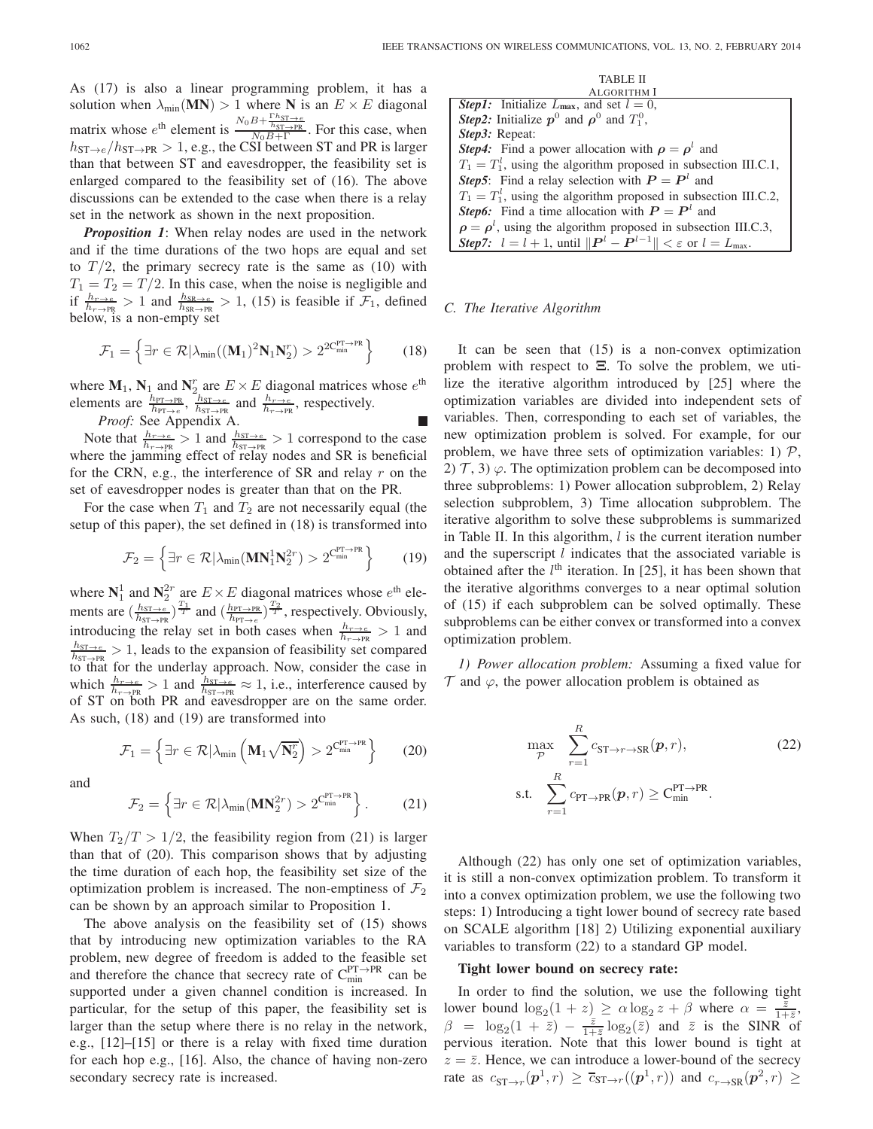As (17) is also a linear programming problem, it has a solution when  $\lambda_{\min}(\mathbf{MN}) > 1$  where **N** is an  $E \times E$  diagonal matrix whose  $e^{\text{th}}$  element is  $\frac{N_0 B + \frac{\Gamma h_{\text{ST}\rightarrow \text{e}}}{\Gamma h_{\text{ST}\rightarrow \text{PR}}}}{N_0 B + \Gamma}$ . For this case, when  $h_{ST\rightarrow e}/h_{ST\rightarrow PR} > 1$ , e.g., the CSI between ST and PR is larger<br>than that between ST and equesdromer, the feasibility set is than that between ST and eavesdropper, the feasibility set is enlarged compared to the feasibility set of (16). The above discussions can be extended to the case when there is a relay set in the network as shown in the next proposition.

*Proposition 1*: When relay nodes are used in the network and if the time durations of the two hops are equal and set to  $T/2$ , the primary secrecy rate is the same as (10) with  $T_1 = T_2 = T/2$ . In this case, when the noise is negligible and if  $\frac{h_{\tau\to\epsilon}}{h_{\tau\to\mu}} > 1$  and  $\frac{h_{\text{SR}\to\epsilon}}{h_{\text{SR}}\to\mu} > 1$ , (15) is feasible if  $\mathcal{F}_1$ , defined below, is a non-empty set

$$
\mathcal{F}_1 = \left\{ \exists r \in \mathcal{R} | \lambda_{\min} ((\mathbf{M}_1)^2 \mathbf{N}_1 \mathbf{N}_2^r) > 2^{2C_{\min}^{\text{PT} \to \text{PR}}} \right\} \tag{18}
$$

where  $M_1$ ,  $N_1$  and  $N_2^r$  are  $E \times E$  diagonal matrices whose  $e^{th}$ elements are  $\frac{h_{\text{PT}\rightarrow\text{PR}}}{h_{\text{PT}\rightarrow e}}$ ,  $\frac{h_{\text{ST}\rightarrow\text{PR}}}{h_{\text{ST}\rightarrow\text{PR}}}$  and  $\frac{h_{\text{r}\rightarrow\text{PR}}}{h_{\text{r}\rightarrow\text{PR}}}$ , respectively.<br>*Proof:* See Appendix A.

Note that  $\frac{h_{r\to e}}{h_{r\to PR}} > 1$  and  $\frac{h_{ST\to e}}{h_{ST\to PR}} > 1$  correspond to the case where the jamming effect of relay nodes and SR is beneficial for the CRN, e.g., the interference of SR and relay  $r$  on the set of eavesdropper nodes is greater than that on the PR.

For the case when  $T_1$  and  $T_2$  are not necessarily equal (the setup of this paper), the set defined in (18) is transformed into

$$
\mathcal{F}_2 = \left\{ \exists r \in \mathcal{R} | \lambda_{\min}(\mathbf{M} \mathbf{N}_1^1 \mathbf{N}_2^{2r}) > 2^{C_{\min}^{\text{PT} \to \text{PR}}} \right\} \tag{19}
$$

where  $N_1^1$  and  $N_2^{2r}$  are  $E \times E$  diagonal matrices whose  $e^{th}$  elements are  $\left(\frac{h_{ST\rightarrow e}}{h_{ST\rightarrow PR}}\right)$  $\frac{T_1}{T}$  and  $\left(\frac{h_{PT\rightarrow PR}}{h_{PT\rightarrow e}}\right)$ *T*2 *<sup>T</sup>* , respectively. Obviously, introducing the relay set in both cases when  $\frac{h_{r\to\infty}}{h_{\text{ST}\to\infty}} > 1$  and  $h_{\text{ST}\to\infty}$  and  $h_{\text{ST}\to\infty}$  and  $h_{\text{ST}\to\infty}$  $\frac{h_{ST\to P}}{h_{ST\to PR}} > 1$ , leads to the expansion of feasibility set compared to that for the underlay approach. Now, consider the case in which  $\frac{h_{r\to e}}{h_{r\to PR}} > 1$  and  $\frac{h_{ST\to e}}{h_{ST\to PR}} \approx 1$ , i.e., interference caused by of ST on both PR and eavesdropper are on the same order. As such, (18) and (19) are transformed into

> $\mathcal{F}_1 = \left\{ \exists r \in \mathcal{R} | \lambda_{\min} \left( \mathbf{M}_1 \sqrt{\mathbf{N}_2^r} \right) > 2^{\mathsf{C}_{\min}^{\text{PT} \rightarrow \text{PR}}} \right\}$ (20)

and

$$
\mathcal{F}_2 = \left\{ \exists r \in \mathcal{R} | \lambda_{\min}(\mathbf{M} \mathbf{N}_2^{2r}) > 2^{C_{\min}^{\text{PT} \to \text{PR}}} \right\}.
$$
 (21)

When  $T_2/T > 1/2$ , the feasibility region from (21) is larger than that of (20). This comparison shows that by adjusting the time duration of each hop, the feasibility set size of the optimization problem is increased. The non-emptiness of  $\mathcal{F}_2$ can be shown by an approach similar to Proposition 1.

The above analysis on the feasibility set of (15) shows that by introducing new optimization variables to the RA problem, new degree of freedom is added to the feasible set and therefore the chance that secrecy rate of  $C_{\min}^{PT \to PR}$  can be supported under a given channel condition is increased. In particular, for the setup of this paper, the feasibility set is larger than the setup where there is no relay in the network, e.g., [12]–[15] or there is a relay with fixed time duration for each hop e.g., [16]. Also, the chance of having non-zero secondary secrecy rate is increased.

TABLE II

| <b>ALGORITHM</b> I                                                                                              |  |  |
|-----------------------------------------------------------------------------------------------------------------|--|--|
| <b>Step1:</b> Initialize $L_{\text{max}}$ , and set $l = 0$ ,                                                   |  |  |
| <b>Step2:</b> Initialize $p^0$ and $p^0$ and $T_1^0$ ,                                                          |  |  |
| Step3: Repeat:                                                                                                  |  |  |
| <b>Step4:</b> Find a power allocation with $\rho = \rho^t$ and                                                  |  |  |
| $T_1 = T_1^l$ , using the algorithm proposed in subsection III.C.1,                                             |  |  |
| <b>Step5</b> : Find a relay selection with $P = Pl$ and                                                         |  |  |
| $T_1 = T_1^l$ , using the algorithm proposed in subsection III.C.2,                                             |  |  |
| <b>Step6:</b> Find a time allocation with $P = Pl$ and                                                          |  |  |
| $\rho = \rho^l$ , using the algorithm proposed in subsection III.C.3,                                           |  |  |
| <b>Step7:</b> $l = l + 1$ , until $  \mathbf{P}^l - \mathbf{P}^{l-1}   < \varepsilon$ or $l = L_{\text{max}}$ . |  |  |
|                                                                                                                 |  |  |

# *C. The Iterative Algorithm*

It can be seen that (15) is a non-convex optimization problem with respect to **Ξ**. To solve the problem, we utilize the iterative algorithm introduced by [25] where the optimization variables are divided into independent sets of variables. Then, corresponding to each set of variables, the new optimization problem is solved. For example, for our problem, we have three sets of optimization variables: 1)  $P$ , 2)  $\mathcal{T}$ , 3)  $\varphi$ . The optimization problem can be decomposed into three subproblems: 1) Power allocation subproblem, 2) Relay selection subproblem, 3) Time allocation subproblem. The iterative algorithm to solve these subproblems is summarized in Table II. In this algorithm,  $l$  is the current iteration number and the superscript l indicates that the associated variable is obtained after the  $l<sup>th</sup>$  iteration. In [25], it has been shown that the iterative algorithms converges to a near optimal solution of (15) if each subproblem can be solved optimally. These subproblems can be either convex or transformed into a convex optimization problem.

*1) Power allocation problem:* Assuming a fixed value for  $T$  and  $\varphi$ , the power allocation problem is obtained as

$$
\max_{\mathcal{P}} \sum_{r=1}^{R} c_{\text{ST}\to r\to\text{SR}}(\mathbf{p}, r),
$$
\ns.t. 
$$
\sum_{r=1}^{R} c_{\text{PT}\to\text{PR}}(\mathbf{p}, r) \geq C_{\text{min}}^{\text{PT}\to\text{PR}}.
$$
\n(22)

Although (22) has only one set of optimization variables, it is still a non-convex optimization problem. To transform it into a convex optimization problem, we use the following two steps: 1) Introducing a tight lower bound of secrecy rate based on SCALE algorithm [18] 2) Utilizing exponential auxiliary variables to transform (22) to a standard GP model.

#### **Tight lower bound on secrecy rate:**

In order to find the solution, we use the following tight lower bound  $\log_2(1+z) \ge \alpha \log_2 z + \beta$  where  $\alpha = \frac{\overline{z}}{1+\overline{z}}$ ,<br>  $\beta = \log_2(1+z) - \frac{\overline{z}}{1+\overline{z}}$  or  $(\overline{z})$  and  $\overline{z}$  is the SINP of  $\beta = \log_2(1 + \overline{z}) - \frac{\overline{z}}{1 + \overline{z}} \log_2(\overline{z})$  and  $\overline{z}$  is the SINR of pervious iteration. Note that this lower bound is tight at  $z = \overline{z}$ . Hence, we can introduce a lower-bound of the secrecy rate as  $c_{ST\to r}(\mathbf{p}^1, r) \ge \overline{c}_{ST\to r}((\mathbf{p}^1, r))$  and  $c_{r\to SR}(\mathbf{p}^2, r) \ge$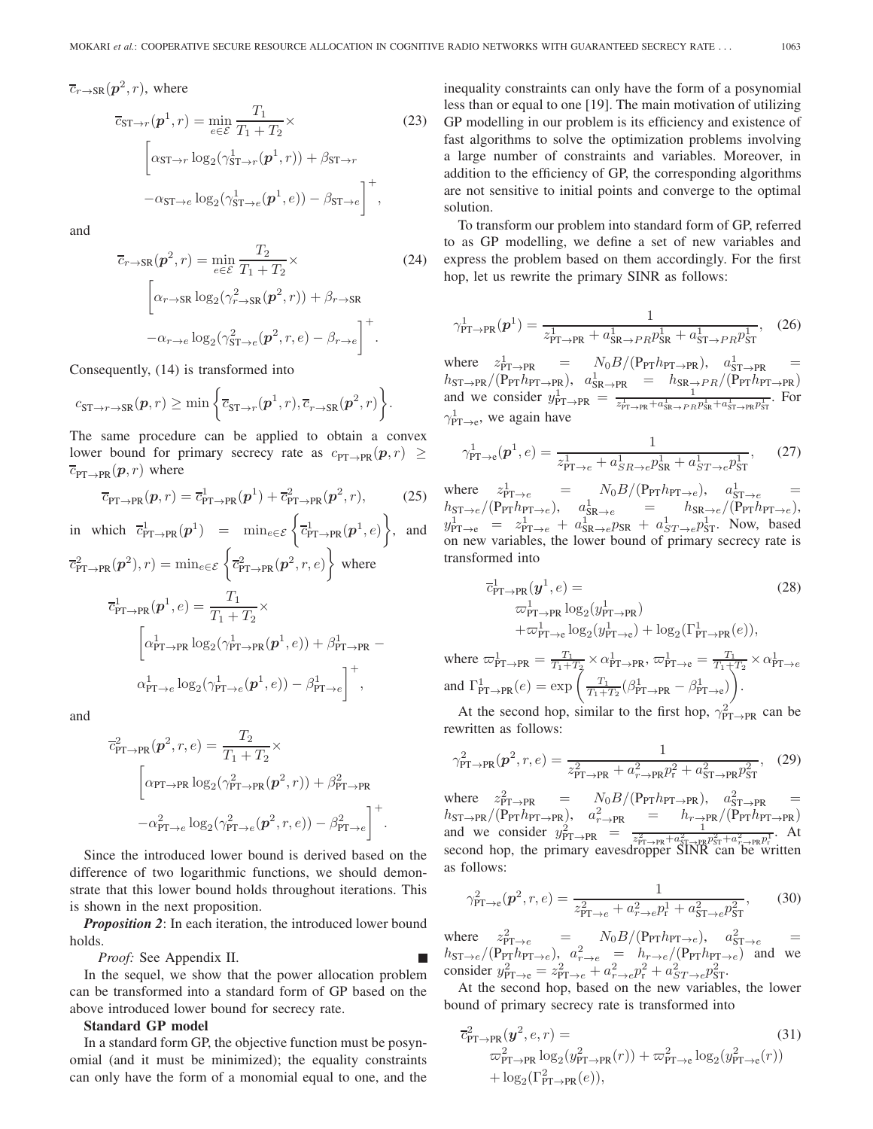$$
\overline{c}_{r \to \text{SR}}(\boldsymbol{p}^2, r), \text{ where}
$$
\n
$$
\overline{c}_{\text{ST} \to r}(\boldsymbol{p}^1, r) = \min_{e \in \mathcal{E}} \frac{T_1}{T_1 + T_2} \times
$$
\n
$$
\left[ \alpha_{\text{ST} \to r} \log_2(\gamma_{\text{ST} \to r}^1(\boldsymbol{p}^1, r)) + \beta_{\text{ST} \to r} \right]
$$
\n
$$
-\alpha_{\text{ST} \to e} \log_2(\gamma_{\text{ST} \to e}^1(\boldsymbol{p}^1, e)) - \beta_{\text{ST} \to e} \right]^+,
$$
\n(23)

and

$$
\overline{c}_{r \to \text{SR}}(\boldsymbol{p}^2, r) = \min_{e \in \mathcal{E}} \frac{T_2}{T_1 + T_2} \times
$$
\n
$$
\left[ \alpha_{r \to \text{SR}} \log_2(\gamma_{r \to \text{SR}}^2(\boldsymbol{p}^2, r)) + \beta_{r \to \text{SR}} \right]
$$
\n
$$
-\alpha_{r \to e} \log_2(\gamma_{\text{ST} \to e}^2(\boldsymbol{p}^2, r, e) - \beta_{r \to e}) + .
$$
\n(24)

Consequently, (14) is transformed into

$$
c_{\text{ST}\to r\to\text{SR}}(\boldsymbol{p},r) \geq \min\left\{\overline{c}_{\text{ST}\to r}(\boldsymbol{p}^1,r),\overline{c}_{r\to\text{SR}}(\boldsymbol{p}^2,r)\right\}.
$$

The same procedure can be applied to obtain a convex lower bound for primary secrecy rate as  $c_{PT\rightarrow PR}(p, r) \geq$  $\overline{c}_{PT\rightarrow PR}(p,r)$  where

$$
\overline{c}_{\text{PT}\to\text{PR}}(\boldsymbol{p},r) = \overline{c}_{\text{PT}\to\text{PR}}^1(\boldsymbol{p}^1) + \overline{c}_{\text{PT}\to\text{PR}}^2(\boldsymbol{p}^2,r),\tag{25}
$$

in which  $\overline{c}_{PT\to PR}^1(p^1)$  =  $\min_{e \in \mathcal{E}} \left\{ \overline{c}_{PT\to PR}^1(p^1, e) \right\}$ , and  $\overline{c}_{\text{PT}\to\text{PR}}^2(\boldsymbol{p}^2), r) = \min_{e \in \mathcal{E}} \left\{ \overline{c}_{\text{PT}\to\text{PR}}^2(\boldsymbol{p}^2, r, e) \right\}$  where  $\overline{c}_{\text{PT}\rightarrow\text{PR}}^1(\boldsymbol{p}^1,e)=\frac{T_1}{T_1+T_2}\times \mathbb{Z}$  $\left[\alpha_{\text{PT}\rightarrow\text{PR}}^1 \log_2(\gamma_{\text{PT}\rightarrow\text{PR}}^1(\boldsymbol{p}^1, e)) + \beta_{\text{PT}\rightarrow\text{PR}}^1 - \right]$  $\alpha_{\text{PT}\rightarrow e}^1 \log_2(\gamma_{\text{PT}\rightarrow e}^1(\boldsymbol{p}^1, e)) - \beta_{\text{PT}\rightarrow e}^1$  $\big]^{+}$ .

and

$$
\overline{c}_{\text{PT}\to\text{PR}}^2(\boldsymbol{p}^2, r, e) = \frac{T_2}{T_1 + T_2} \times \left[ \alpha_{\text{PT}\to\text{PR}} \log_2(\gamma_{\text{PT}\to\text{PR}}^2(\boldsymbol{p}^2, r)) + \beta_{\text{PT}\to\text{PR}}^2 - \alpha_{\text{PT}\to e}^2 \log_2(\gamma_{\text{PT}\to e}^2(\boldsymbol{p}^2, r, e)) - \beta_{\text{PT}\to e}^2 \right]^+.
$$

Since the introduced lower bound is derived based on the difference of two logarithmic functions, we should demonstrate that this lower bound holds throughout iterations. This is shown in the next proposition.

*Proposition 2*: In each iteration, the introduced lower bound holds.

*Proof:* See Appendix II.

In the sequel, we show that the power allocation problem can be transformed into a standard form of GP based on the above introduced lower bound for secrecy rate.

## **Standard GP model**

In a standard form GP, the objective function must be posynomial (and it must be minimized); the equality constraints can only have the form of a monomial equal to one, and the

inequality constraints can only have the form of a posynomial less than or equal to one [19]. The main motivation of utilizing GP modelling in our problem is its efficiency and existence of fast algorithms to solve the optimization problems involving a large number of constraints and variables. Moreover, in addition to the efficiency of GP, the corresponding algorithms are not sensitive to initial points and converge to the optimal solution.

To transform our problem into standard form of GP, referred to as GP modelling, we define a set of new variables and express the problem based on them accordingly. For the first hop, let us rewrite the primary SINR as follows:

$$
\gamma_{\text{PT}\to\text{PR}}^1(p^1) = \frac{1}{z_{\text{PT}\to\text{PR}}^1 + a_{\text{SR}\to\text{PR}}^1 p_{\text{SR}}^1 + a_{\text{ST}\to\text{PR}}^1 p_{\text{ST}}^1},\tag{26}
$$

where  $z_{PT\rightarrow PR}^1$  =  $N_0B/(P_{PT}h_{PT\rightarrow PR})$ ,  $a_{ST\rightarrow PR}^1$  =  $h_{ST\rightarrow PR}/(P_{PT}h_{PT\rightarrow PR})$ <br>
and we consider  $y_{PT\rightarrow PR}^1$  =  $\frac{1}{z_{PT\rightarrow PR}^1 + a_{SR\rightarrow PR}^1 p_{SR}^1 + a_{ST\rightarrow PR}^1 p_{ST}^1}$ . For  $\gamma_{\text{PT}\rightarrow\text{e}}^1$ , we again have

$$
\gamma_{\text{PT}\to e}^{1}(\boldsymbol{p}^{1},e) = \frac{1}{z_{\text{PT}\to e}^{1} + a_{SR\to e}^{1} p_{SR}^{1} + a_{ST\to e}^{1} p_{ST}^{1}},\qquad(27)
$$

where  $z_{PT\rightarrow e}^1 = N_0 B/(P_{PT} h_{PT\rightarrow e}), \quad a_{ST\rightarrow e}^1 = h_{ST\rightarrow e}/(P_{PT} h_{PT\rightarrow e}),$ <br>  $y_{PT\rightarrow e}^1 = z_{PT\rightarrow e}^1 + a_{SR\rightarrow e}^1 P_{SR} + a_{ST\rightarrow e}^1 P_{ST}^1$ . Now, based<br>
on new variables the lower bound of primary secrecy rate is on new variables, the lower bound of primary secrecy rate is transformed into

$$
\overline{c}_{\text{PT}\to\text{PR}}^1(y^1, e) = \qquad (28)
$$
\n
$$
\overline{\omega}_{\text{PT}\to\text{PR}}^1 \log_2(y_{\text{PT}\to\text{PR}}^1)
$$
\n
$$
+\overline{\omega}_{\text{PT}\to e}^1 \log_2(y_{\text{PT}\to e}^1) + \log_2(\Gamma_{\text{PT}\to\text{PR}}^1(e)),
$$

where  $\varpi_{\text{PT}\rightarrow\text{PR}}^1 = \frac{T_1}{T_1 + T_2} \times \alpha_{\text{PT}\rightarrow\text{PR}}^1$ ,  $\varpi_{\text{PT}\rightarrow\text{e}}^1 = \frac{T_1}{T_1 + T_2} \times \alpha_{\text{PT}\rightarrow\text{e}}^1$ and  $\Gamma^1_{\text{PT}\rightarrow \text{PR}}(e) = \exp\left(\frac{T_1}{T_1+T_2}(\beta_{\text{PT}\rightarrow \text{PR}}^1 - \beta_{\text{PT}\rightarrow e}^1)\right)$ .

At the second hop, similar to the first hop,  $\gamma_{\text{PT}\rightarrow\text{PR}}^2$  can be rewritten as follows:

$$
\gamma_{\text{PT}\to\text{PR}}^2(p^2, r, e) = \frac{1}{z_{\text{PT}\to\text{PR}}^2 + a_{r\to\text{PR}}^2 p_{\text{r}}^2 + a_{\text{ST}\to\text{PR}}^2 p_{\text{ST}}^2}, \quad (29)
$$

where  $z_{\text{PT}\to\text{PR}}^2 = N_0 B / (P_{\text{PT}} h_{\text{PT}\to\text{PR}})$ ,  $a_{\text{ST}\to\text{PR}}^2 = h_{r\to\text{PR}} / (P_{\text{PT}} h_{\text{PT}\to\text{PR}})$ <br>  $h_{\text{ST}\to\text{PR}} / (P_{\text{PT}} h_{\text{PT}\to\text{PR}})$ ,  $a_{r\to\text{PR}}^2 = h_{r\to\text{PR}} / (P_{\text{PT}} h_{\text{PT}\to\text{PR}})$ <br>
and we consider  $y_{\text{PT}\to$ second hop, the primary eavesdropper SINR can be written as follows:

$$
\gamma_{\text{PT}\to\text{e}}^2(\boldsymbol{p}^2, r, e) = \frac{1}{z_{\text{PT}\to e}^2 + a_{r\to e}^2 p_{\text{r}}^1 + a_{\text{ST}\to e}^2 p_{\text{ST}}^2},\qquad(30)
$$

where  $z_{PT\to e}^2 = N_0 B/(P_{PT} h_{PT\to e}), \quad a_{ST\to e}^2 = h_{T\to e}/(P_{PT} h_{PT\to e})$  and we consider  $y_{PT\to e}^2 = z_{PT\to e}^2 + a_{T\to e}^2 p_T^2 + a_{ST\to e}^2 p_{ST}^2$ .<br>At the second hop hased on the new variables, the lower

At the second hop, based on the new variables, the lower bound of primary secrecy rate is transformed into

$$
\overline{c}_{\text{PT}\to\text{PR}}^{2}(y^{2}, e, r) = \qquad (31)
$$
\n
$$
\varpi_{\text{PT}\to\text{PR}}^{2}\log_{2}(y_{\text{PT}\to\text{PR}}^{2}(r)) + \varpi_{\text{PT}\to\text{e}}^{2}\log_{2}(y_{\text{PT}\to\text{e}}^{2}(r)) + \log_{2}(\Gamma_{\text{PT}\to\text{PR}}^{2}(e)),
$$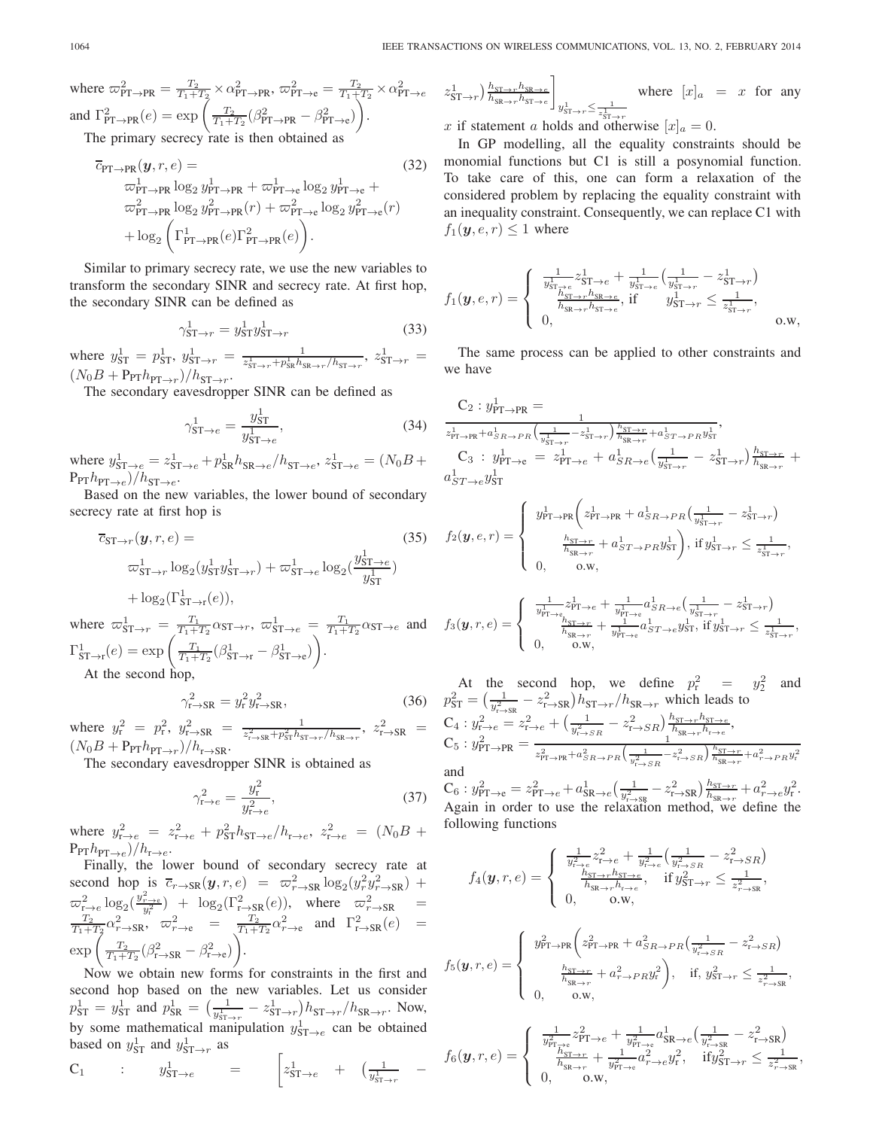where  $\varpi_{\text{PT}\rightarrow\text{PR}}^2 = \frac{T_2}{T_1+T_2} \times \alpha_{\text{PT}\rightarrow\text{PR}}^2$ ,  $\varpi_{\text{PT}\rightarrow\text{e}}^2 = \frac{T_2}{T_1+T_2} \times \alpha_{\text{PT}\rightarrow\text{e}}^2$ and  $\Gamma_{\text{PT}\rightarrow\text{PR}}^2(e) = \exp\left(\frac{T_2}{T_1+T_2}(\beta_{\text{PT}\rightarrow\text{PR}}^2 - \beta_{\text{PT}\rightarrow\text{e}}^2)\right)$ .

The primary secrecy rate is then obtained as

$$
\overline{c}_{\text{PT}\to\text{PR}}(\mathbf{y},r,e) = \qquad (32)
$$
\n
$$
\overline{\omega}_{\text{PT}\to\text{PR}}^1 \log_2 y_{\text{PT}\to\text{PR}}^1 + \overline{\omega}_{\text{PT}\to e}^1 \log_2 y_{\text{PT}\to e}^1 + \overline{\omega}_{\text{PT}\to\text{PR}}^2 \log_2 y_{\text{PT}\to\text{PR}}^2(r) + \overline{\omega}_{\text{PT}\to e}^2 \log_2 y_{\text{PT}\to e}^2(r) + \log_2 \left(\Gamma_{\text{PT}\to\text{PR}}^1(e)\Gamma_{\text{PT}\to\text{PR}}^2(e)\right).
$$

Similar to primary secrecy rate, we use the new variables to transform the secondary SINR and secrecy rate. At first hop, the secondary SINR can be defined as

$$
\gamma_{\text{ST}\to r}^1 = y_{\text{ST}}^1 y_{\text{ST}\to r}^1 \tag{33}
$$

where  $y_{ST}^1 = p_{ST}^1$ ,  $y_{ST \to r}^1 = \frac{1}{z_{ST \to r}^1 + p_{SR}^1 h_{SR \to r}/h_{ST \to r}}$ ,  $z_{ST \to r}^1 =$  $(N_0B + P_{\text{PT}}h_{\text{PT}\to r})/h_{\text{ST}\to r}.$ 

The secondary eavesdropper SINR can be defined as

$$
\gamma_{\text{ST}\to e}^1 = \frac{y_{\text{ST}}^1}{y_{\text{ST}\to e}^1},\tag{34}
$$

where  $y_{ST\to e}^1 = z_{ST\to e}^1 + p_{SR}^1 h_{SR\to e} / h_{ST\to e}$ ,  $z_{ST\to e}^1 = (N_0 B + P_{SFR})/h$  $P_{PT}h_{PT\rightarrow e})/h_{ST\rightarrow e}$ .

Based on the new variables, the lower bound of secondary secrecy rate at first hop is

$$
\overline{c}_{ST \to r}(\mathbf{y}, r, e) =
$$
\n
$$
\overline{\omega}_{ST \to r}^{1} \log_2(y_{ST}^1 y_{ST \to r}^1) + \overline{\omega}_{ST \to e}^{1} \log_2(\frac{y_{ST \to e}^1}{y_{ST}^1})
$$
\n
$$
+ \log_2(\Gamma_{ST \to r}^{1}(e)),
$$
\n
$$
\overline{\omega}_{ST}^{T}(\mathbf{y}, \mathbf{y}) = \mathbf{0}
$$
\n
$$
\overline{\omega}_{ST}^{T}(\mathbf{y}, \mathbf{y}) = \mathbf{0}
$$
\n
$$
\overline{\omega}_{ST}^{T}(\mathbf{y}, \mathbf{y}) = \mathbf{0}
$$
\n
$$
\overline{\omega}_{ST}^{T}(\mathbf{y}, \mathbf{y}) = \mathbf{0}
$$
\n
$$
\overline{\omega}_{ST}^{T}(\mathbf{y}, \mathbf{y}) = \mathbf{0}
$$
\n
$$
\overline{\omega}_{ST}^{T}(\mathbf{y}, \mathbf{y}) = \mathbf{0}
$$
\n
$$
\overline{\omega}_{ST}^{T}(\mathbf{y}, \mathbf{y}) = \mathbf{0}
$$
\n
$$
\overline{\omega}_{ST}^{T}(\mathbf{y}, \mathbf{y}) = \mathbf{0}
$$
\n
$$
\overline{\omega}_{ST}^{T}(\mathbf{y}, \mathbf{y}) = \mathbf{0}
$$
\n
$$
\overline{\omega}_{ST}^{T}(\mathbf{y}, \mathbf{y}) = \mathbf{0}
$$
\n
$$
\overline{\omega}_{ST}^{T}(\mathbf{y}, \mathbf{y}) = \mathbf{0}
$$
\n
$$
\overline{\omega}_{ST}^{T}(\mathbf{y}, \mathbf{y}) = \mathbf{0}
$$
\n
$$
\overline{\omega}_{ST}^{T}(\mathbf{y}, \mathbf{y}) = \mathbf{0}
$$
\n
$$
\overline{\omega}_{ST}^{T}(\mathbf{y}, \mathbf{y}) = \mathbf{0}
$$
\n
$$
\overline{\omega}_{ST}^{T}(\mathbf{y}, \mathbf{y}) = \mathbf{0}
$$
\n
$$
\overline{\omega}_{ST}^{T}(\mathbf{y}, \mathbf{y}) = \mathbf{0}
$$
\n
$$
\overline{\omega}_{ST}^{T}
$$

where  $\varpi_{ST \to r}^1 = \frac{T_1}{T_1 + T_2} \alpha_{ST \to r}$ ,  $\varpi_{ST \to e}^1 = \frac{T_1}{T_1 + T_2} \alpha_{ST \to e}$  and  $\Gamma_{\text{ST}\rightarrow\text{r}}^1(e) = \exp\left(\frac{T_1}{T_1+T_2}(\beta_{\text{ST}\rightarrow\text{r}}^1 - \beta_{\text{ST}\rightarrow\text{e}}^1)\right)$ .

At the second hop,

$$
\gamma_{\rm r \to SR}^2 = y_{\rm r}^2 y_{\rm r \to SR}^2,\tag{36}
$$

where  $y_r^2 = p_r^2$ ,  $y_{r \to SR}^2 = \frac{1}{z_{r \to SR}^2 + p_{ST}^2 h_{ST \to r}/h_{SR \to r}}$ ,  $z_{r \to SR}^2 = (N_0 B + P_{PT} h_{PT \to r})/h_{r \to SR}$ .<br>The secondary equationner SINR is obtained as

The secondary eavesdropper SINR is obtained as

$$
\gamma_{\mathbf{r}\to e}^2 = \frac{y_{\mathbf{r}}^2}{y_{\mathbf{r}\to e}^2},\tag{37}
$$

where  $y_{r\to e}^2 = z_{r\to e}^2 + p_{ST}^2 h_{ST\to e} / h_{r\to e}$ ,  $z_{r\to e}^2 = (N_0 B + P_{R_0}) / h$  $P_{PT}h_{PT\rightarrow e})/h_{r\rightarrow e}$ .

Finally, the lower bound of secondary secrecy rate at second hop is  $\overline{c}_{r\rightarrow SR}(\mathbf{y}, r, e) = \overline{\omega}_{r\rightarrow SR}^2 \log_2(y_r^2 y_{r\rightarrow SR}^2) + \overline{\omega}_{r\rightarrow SE}^2 \log_2(\frac{y_{r\rightarrow SE}^2}{y_r^2}) + \log_2(\Gamma_{r\rightarrow SR}^2(e)),$  where  $\overline{\omega}_{r\rightarrow SR}^2 = \frac{\overline{\omega}_{r\rightarrow SR}^2}{\overline{\omega}_{r\rightarrow SR}^2}$  $\frac{\pi^2}{\pi^2} \log_2(\frac{y_{r\to\epsilon}^2}{y_r^2}) + \log_2(\Gamma_{r\to SR}^2(e)),$  where  $\frac{\pi^2}{\pi^2 \to SR} = \frac{T_2}{T_1+T_2} \alpha_{r\to SR}^2$ ,  $\frac{T_2}{T_1+T_2} \alpha_{r\to e}^2$  and  $\Gamma_{r\to SR}^2(e)$  =  $\exp\left(\frac{T_2}{T_1+T_2}(\beta_{\rm r\to SR}^2-\beta_{\rm r\to e}^2)\right)$ .

Now we obtain new forms for constraints in the first and second hop based on the new variables. Let us consider  $p_{ST}^1 = y_{ST}^1$  and  $p_{SR}^1 = (\frac{1}{y_{ST \to r}^1} - z_{ST \to r}^1) h_{ST \to r} / h_{SR \to r}$ . Now, by some mathematical manipulation  $y_{ST\rightarrow e}^1$  can be obtained based on  $y_{ST}^1$  and  $y_{ST\rightarrow r}^1$  as

$$
C_1 : y^1_{ST \to e} = \begin{bmatrix} z^1_{ST \to e} + \left( \frac{1}{y^1_{ST \to r}} - \right) \end{bmatrix}
$$

$$
z_{ST \to r}^1 \Big|_{h_{SR \to r} h_{SR \to c}}^{h_{ST \to r} h_{SR \to c}} \Big|_{y_{ST \to r}^1 \le \frac{1}{z_{ST \to r}^1}}
$$
 where  $[x]_a = x$  for any   
 x if statement a holds and otherwise  $[x]_a = 0$ .  
 In GP modelling, all the equality constraints should be

monomial functions but C1 is still a posynomial function. To take care of this, one can form a relaxation of the considered problem by replacing the equality constraint with an inequality constraint. Consequently, we can replace C1 with  $f_1(\mathbf{y}, e, r) \leq 1$  where

$$
f_1(\mathbf{y}, e, r) = \begin{cases} \frac{1}{y_{\text{ST}\to e}^1} z_{\text{ST}\to e}^1 + \frac{1}{y_{\text{ST}\to e}^1} \left( \frac{1}{y_{\text{ST}\to r}^1} - z_{\text{ST}\to r}^1 \right) \\ \frac{h_{\text{ST}\to r} h_{\text{SR}\to e}}{h_{\text{SR}\to r} h_{\text{ST}\to e}}, \text{ if } y_{\text{ST}\to r}^1 \le \frac{1}{z_{\text{ST}\to r}^1}, \\ 0, & \text{o.w}, \end{cases}
$$

The same process can be applied to other constraints and we have

$$
C_2: y^1_{\text{PT}\to\text{PR}} = \frac{1}{z^1_{\text{PT}\to\text{PR}} + a^1_{SR\to\text{PR}} \left( \frac{1}{y^1_{ST\to r}} - z^1_{ST\to r} \right) \frac{h_{ST\to r}}{h_{SR\to r}} + a^1_{ST\to\text{PR}} y^1_{ST}},
$$
  
\n
$$
C_3: y^1_{\text{PT}\to e} = z^1_{\text{PT}\to e} + a^1_{SR\to e} \left( \frac{1}{y^1_{ST\to r}} - z^1_{ST\to r} \right) \frac{h_{ST\to r}}{h_{SR\to r}} +
$$
  
\n
$$
a^1_{ST\to e} y^1_{ST}
$$

$$
f_2(\mathbf{y}, e, r) = \begin{cases} y_{\text{PT}\to \text{PR}}^1 \left( z_{\text{PT}\to \text{PR}}^1 + a_{SR\to PR}^1 \left( \frac{1}{y_{\text{ST}\to r}^1} - z_{\text{ST}\to r}^1 \right) \right. \\ y_{\text{ST}\to r}^1 + a_{ST\to PR}^1 y_{\text{ST}}^1 \right), \text{ if } y_{\text{ST}\to r}^1 \leq \frac{1}{z_{\text{ST}\to r}^1}, \\ 0, \qquad \text{o.w}, \end{cases}
$$

$$
f_3(\mathbf{y}, r, e) = \begin{cases} \frac{1}{y_{\text{PT}\to e}^1} z_{\text{PT}\to e}^1 + \frac{1}{y_{\text{PT}\to e}^1} a_{SR\to e}^1 \left( \frac{1}{y_{\text{ST}\to r}^1} - z_{\text{ST}\to r}^1 \right) \\ \frac{h_{\text{ST}\to r}}{h_{\text{SR}\to r}} + \frac{1}{y_{\text{PT}\to e}^1} a_{ST\to e}^1 y_{\text{ST}\to f}^1 \text{ if } y_{\text{ST}\to r}^1 \le \frac{1}{z_{\text{ST}\to r}^1}, \\ 0, \qquad 0. \text{w}, \end{cases}
$$

At the second hop, we define  $p_{\rm r}^2 = y_2^2$  and  $p_{\rm ST}^2 = (\frac{1}{y_{\rm r \to SR}^2} - z_{\rm r \to SR}^2)h_{\rm ST \to r}/h_{\rm SR \to r}$  which leads to  $C_4: y_{\text{r}\to e}^2 = z_{\text{r}\to e}^2 + \left(\frac{1}{y_{\text{r}\to SR}^2} - z_{\text{r}\to SR}^2\right) \frac{h_{\text{ST}\to r} h_{\text{ST}\to e}}{h_{\text{SR}\to r} h_{\text{r}\to e}},$  $C_5: y_{PT\to PR}^2 = \frac{1}{z_{PT\to PR}^2 + a_{SR\to PR}^2 \left(\frac{1}{y_{r\to SR}^2} - z_{r\to SR}^2\right) \frac{h_{ST\to r}}{h_{SR\to r}} + a_{r\to PR}^2 y_r^2}$ <br>and

 $C_6$ :  $y_{PT\to e}^2 = z_{PT\to e}^2 + a_{SR\to e}^1 \left( \frac{1}{y_{\rm s}^2 - 5R} - z_{\rm r-SR}^2 \right) \frac{h_{ST\to r}}{h_{SR\to r}} + a_{r\to e}^2 y_{\rm r}^2$ . Again in order to use the relaxation method, we define the following functions

$$
f_4(\mathbfit{y},r,e)=\left\{\begin{array}{c} \frac{1}{y_{\mathrm{r}\rightarrow e}^2}z_{\mathrm{r}\rightarrow e}^2+\frac{1}{y_{\mathrm{r}\rightarrow e}^2}\big(\frac{1}{y_{\mathrm{r}\rightarrow S R}^2}-z_{\mathrm{r}\rightarrow S R}^2\big)\\ \frac{h_{\mathrm{ST}\rightarrow r}h_{\mathrm{ST}\rightarrow e}}{h_{\mathrm{SR}\rightarrow r}h_{\mathrm{r}\rightarrow e}}, \quad \text{if}~y_{\mathrm{ST}\rightarrow r}^2\leq \frac{1}{z_{r}\rightarrow \mathrm{SR}} ,\\ 0, \qquad \text{o.w}, \end{array}\right.
$$

$$
f_5(\mathbf{y}, r, e) = \begin{cases} y_{\text{PT}\to\text{PR}}^2 \left( z_{\text{PT}\to\text{PR}}^2 + a_{SR\to\text{PR}}^2 \left( \frac{1}{y_{r\to SR}^2} - z_{r\to SR}^2 \right) \right. \\ \frac{h_{\text{ST}\to r}}{h_{\text{SR}\to r}} + a_{r\to\text{PR}}^2 y_r^2 \right), & \text{if, } y_{\text{ST}\to r}^2 \le \frac{1}{z_{r\to \text{SR}}^2}, \\ 0, & \text{o.w}, \end{cases}
$$

$$
f_6(\mathbf{y}, r, e) = \begin{cases} \frac{1}{y_{\text{PT}_{\text{DE}}}^2} z_{\text{PT}_{\to e}}^2 + \frac{1}{y_{\text{PT}_{\text{DE}}}^2} a_{\text{SR} \to e}^1 \left( \frac{1}{y_{r-\text{SR}}^2} - z_{r-\text{SR}}^2 \right) \\ \frac{h_{\text{ST}_{\to r}}}{h_{\text{SR}_{\to r}}} + \frac{1}{y_{\text{PT}_{\to e}}^2} a_{r \to e}^2 y_r^2, & \text{if } y_{\text{ST}_{\to r}}^2 \le \frac{1}{z_{r-\text{SR}}^2}, \\ 0, & \text{o.w}, \end{cases}
$$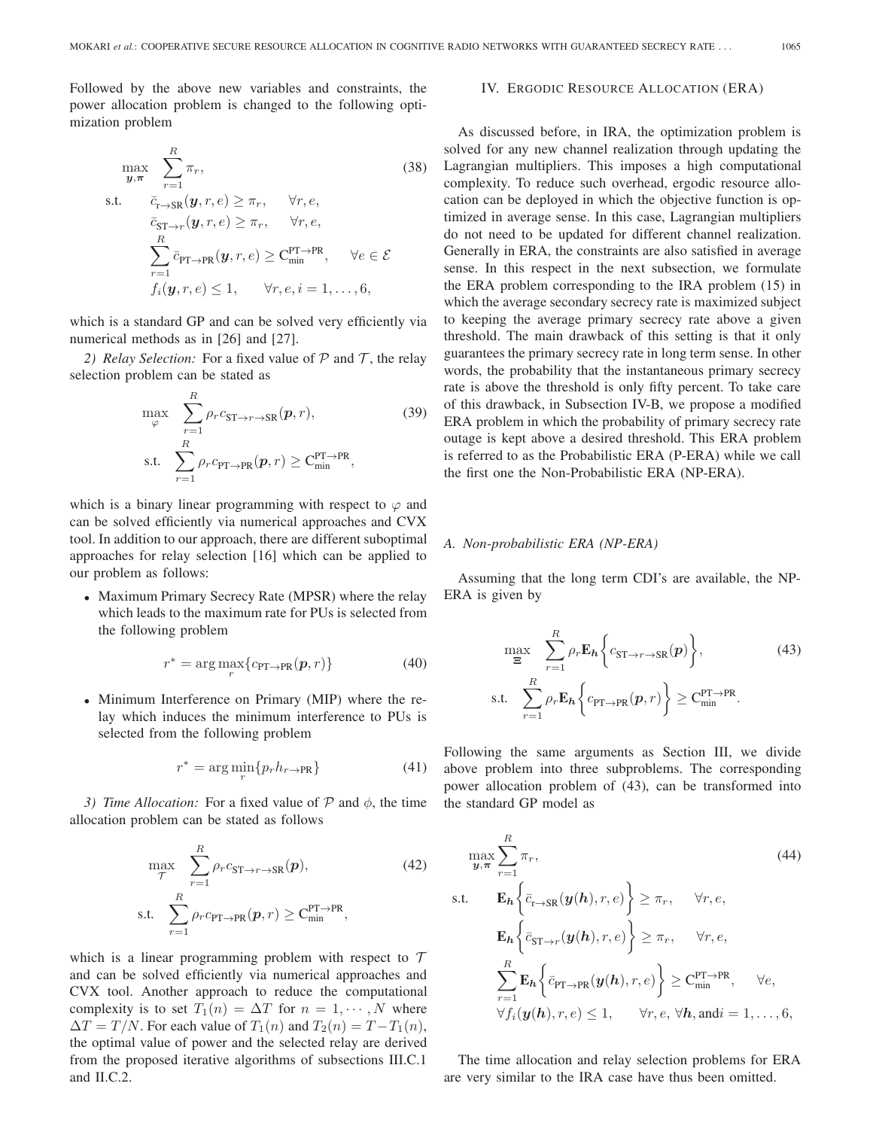Followed by the above new variables and constraints, the power allocation problem is changed to the following optimization problem

$$
\max_{\mathbf{y}, \pi} \sum_{r=1}^{R} \pi_r,
$$
\n
$$
\text{s.t.} \quad \bar{c}_{\mathbf{r} \to \mathbf{SR}}(\mathbf{y}, r, e) \ge \pi_r, \quad \forall r, e,
$$
\n
$$
\bar{c}_{\mathbf{ST} \to r}(\mathbf{y}, r, e) \ge \pi_r, \quad \forall r, e,
$$
\n
$$
\sum_{r=1}^{R} \bar{c}_{\mathbf{PT} \to \mathbf{PR}}(\mathbf{y}, r, e) \ge \mathbf{C}_{\text{min}}^{\mathbf{PT} \to \mathbf{PR}}, \quad \forall e \in \mathcal{E}
$$
\n
$$
f_i(\mathbf{y}, r, e) \le 1, \quad \forall r, e, i = 1, ..., 6,
$$
\n(38)

which is a standard GP and can be solved very efficiently via numerical methods as in [26] and [27].

*2) Relay Selection:* For a fixed value of  $P$  and  $T$ , the relay selection problem can be stated as

 $\overline{D}$ 

$$
\max_{\varphi} \sum_{r=1}^{R} \rho_r c_{ST \to r \to SR}(\mathbf{p}, r),
$$
\n
$$
\text{s.t.} \sum_{r=1}^{R} \rho_r c_{\text{PT} \to \text{PR}}(\mathbf{p}, r) \geq C_{\text{min}}^{\text{PT} \to \text{PR}},
$$
\n(39)

which is a binary linear programming with respect to  $\varphi$  and can be solved efficiently via numerical approaches and CVX tool. In addition to our approach, there are different suboptimal approaches for relay selection [16] which can be applied to our problem as follows:

• Maximum Primary Secrecy Rate (MPSR) where the relay which leads to the maximum rate for PUs is selected from the following problem

$$
r^* = \arg\max_r \{c_{\text{PT}\to\text{PR}}(\boldsymbol{p},r)\}\tag{40}
$$

• Minimum Interference on Primary (MIP) where the relay which induces the minimum interference to PUs is selected from the following problem

$$
r^* = \arg\min_r \{p_r h_{r \to \text{PR}}\} \tag{41}
$$

*3) Time Allocation:* For a fixed value of  $P$  and  $\phi$ , the time allocation problem can be stated as follows

$$
\max_{\mathcal{T}} \sum_{r=1}^{R} \rho_r c_{\text{ST}\to r\to\text{SR}}(p),
$$
\n(42)  
\ns.t. 
$$
\sum_{r=1}^{R} \rho_r c_{\text{PT}\to\text{PR}}(p, r) \geq C_{\text{min}}^{\text{PT}\to\text{PR}},
$$

which is a linear programming problem with respect to  $\mathcal T$ and can be solved efficiently via numerical approaches and CVX tool. Another approach to reduce the computational complexity is to set  $T_1(n) = \Delta T$  for  $n = 1, \dots, N$  where  $\Delta T = T/N$ . For each value of  $T_1(n)$  and  $T_2(n) = T - T_1(n)$ , the optimal value of power and the selected relay are derived from the proposed iterative algorithms of subsections III.C.1 and II.C.2.

#### IV. ERGODIC RESOURCE ALLOCATION (ERA)

As discussed before, in IRA, the optimization problem is solved for any new channel realization through updating the Lagrangian multipliers. This imposes a high computational complexity. To reduce such overhead, ergodic resource allocation can be deployed in which the objective function is optimized in average sense. In this case, Lagrangian multipliers do not need to be updated for different channel realization. Generally in ERA, the constraints are also satisfied in average sense. In this respect in the next subsection, we formulate the ERA problem corresponding to the IRA problem (15) in which the average secondary secrecy rate is maximized subject to keeping the average primary secrecy rate above a given threshold. The main drawback of this setting is that it only guarantees the primary secrecy rate in long term sense. In other words, the probability that the instantaneous primary secrecy rate is above the threshold is only fifty percent. To take care of this drawback, in Subsection IV-B, we propose a modified ERA problem in which the probability of primary secrecy rate outage is kept above a desired threshold. This ERA problem is referred to as the Probabilistic ERA (P-ERA) while we call the first one the Non-Probabilistic ERA (NP-ERA).

#### *A. Non-probabilistic ERA (NP-ERA)*

Assuming that the long term CDI's are available, the NP-ERA is given by

$$
\max_{\Xi} \sum_{r=1}^{R} \rho_r \mathbf{E}_h \bigg\{ c_{ST \to r \to SR}(\mathbf{p}) \bigg\},
$$
\n(43)\n  
\ns.t. 
$$
\sum_{r=1}^{R} \rho_r \mathbf{E}_h \bigg\{ c_{PT \to PR}(\mathbf{p}, r) \bigg\} \geq C_{\min}^{PT \to PR}.
$$

Following the same arguments as Section III, we divide above problem into three subproblems. The corresponding power allocation problem of (43), can be transformed into the standard GP model as

$$
\max_{\mathbf{y}, \pi} \sum_{r=1}^{R} \pi_r,
$$
\n(44)\n  
\ns.t. 
$$
\mathbf{E}_{h} \left\{ \bar{c}_{\mathbf{r} \to \mathbf{SR}}(\mathbf{y}(h), r, e) \right\} \geq \pi_r, \quad \forall r, e,
$$
\n
$$
\mathbf{E}_{h} \left\{ \bar{c}_{\mathbf{ST} \to r}(\mathbf{y}(h), r, e) \right\} \geq \pi_r, \quad \forall r, e,
$$
\n
$$
\sum_{r=1}^{R} \mathbf{E}_{h} \left\{ \bar{c}_{\mathbf{PT} \to \mathbf{PR}}(\mathbf{y}(h), r, e) \right\} \geq \mathbf{C}_{\min}^{\mathbf{PT} \to \mathbf{PR}}, \quad \forall e,
$$
\n
$$
\forall f_i(\mathbf{y}(h), r, e) \leq 1, \quad \forall r, e, \forall h, \text{and } i = 1, ..., 6,
$$

The time allocation and relay selection problems for ERA are very similar to the IRA case have thus been omitted.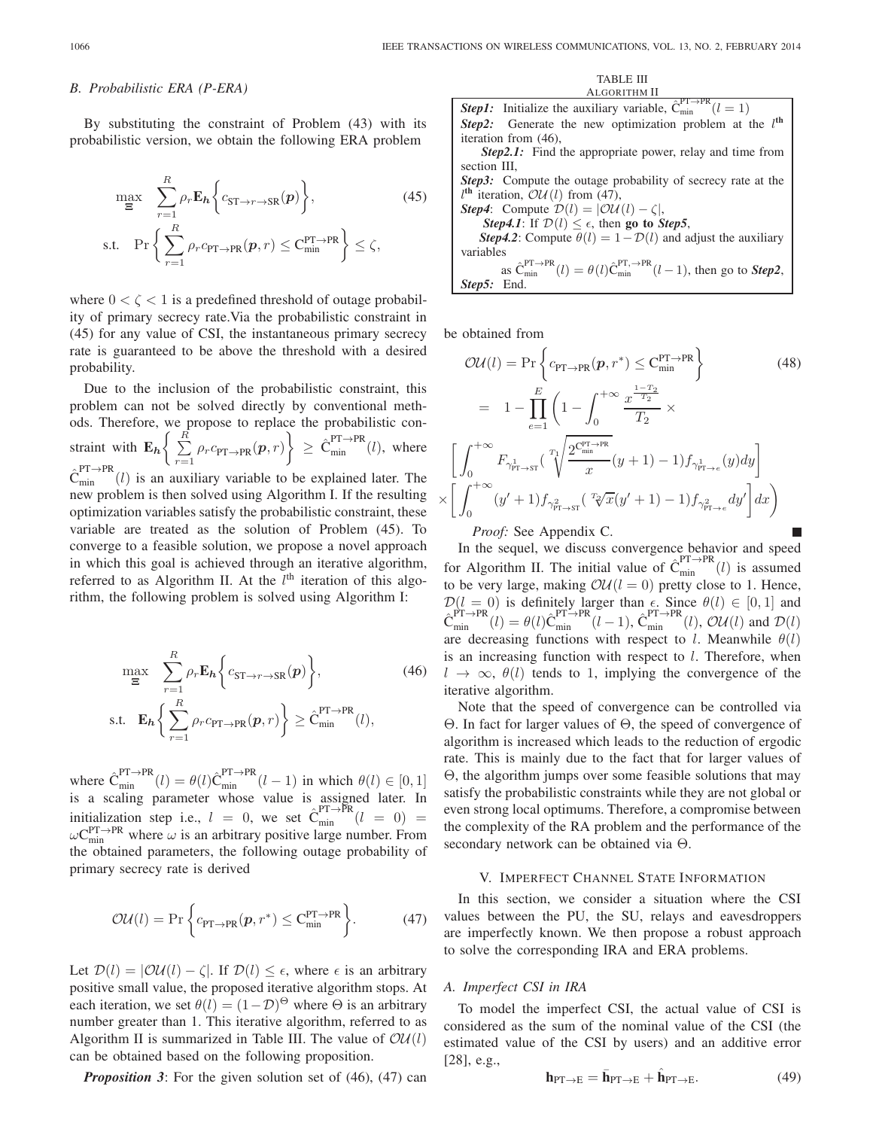#### *B. Probabilistic ERA (P-ERA)*

By substituting the constraint of Problem (43) with its probabilistic version, we obtain the following ERA problem

$$
\max_{\Xi} \sum_{r=1}^{R} \rho_r \mathbf{E}_h \left\{ c_{ST \to r \to SR}(\mathbf{p}) \right\},\tag{45}
$$
\n
$$
\text{s.t.} \quad \Pr \left\{ \sum_{r=1}^{R} \rho_r c_{\text{PT} \to \text{PR}}(\mathbf{p}, r) \leq C_{\text{min}}^{\text{PT} \to \text{PR}} \right\} \leq \zeta,
$$

where  $0 < \zeta < 1$  is a predefined threshold of outage probability of primary secrecy rate.Via the probabilistic constraint in (45) for any value of CSI, the instantaneous primary secrecy rate is guaranteed to be above the threshold with a desired probability.

Due to the inclusion of the probabilistic constraint, this problem can not be solved directly by conventional methods. Therefore, we propose to replace the probabilistic constraint with  $\mathbf{E}_h \begin{cases} R \\ \sum_{n=1}^R \end{cases}$  $\left\{\sum_{r=1}^{R} \rho_r c_{\text{PT}\rightarrow \text{PR}}(\boldsymbol{p}, r) \right\} \geq \hat{C}_{\text{min}}^{\text{PT}\rightarrow \text{PR}}(l)$ , where  $\hat{C}_{\min}^{\text{PT}\rightarrow\text{PR}}(l)$  is an auxiliary variable to be explained later. The new problem is then solved using Algorithm I. If the resulting new problem is then solved using Algorithm I. If the resulting optimization variables satisfy the probabilistic constraint, these variable are treated as the solution of Problem (45). To converge to a feasible solution, we propose a novel approach in which this goal is achieved through an iterative algorithm, referred to as Algorithm II. At the  $l<sup>th</sup>$  iteration of this algorithm, the following problem is solved using Algorithm I:

$$
\max_{\Xi} \sum_{r=1}^{R} \rho_r \mathbf{E}_h \left\{ c_{\text{ST}\to r\to\text{SR}}(p) \right\},\tag{46}
$$
\n
$$
\text{s.t.} \quad \mathbf{E}_h \left\{ \sum_{r=1}^{R} \rho_r c_{\text{PT}\to\text{PR}}(p,r) \right\} \ge \hat{C}_{\text{min}}^{\text{PT}\to\text{PR}}(l),
$$

where  $\hat{C}_{min}^{PT\rightarrow PR}(l) = \theta(l)\hat{C}_{min}^{PT\rightarrow PR}(l-1)$  in which  $\theta(l) \in [0, 1]$ <br>is a scaling parameter whose value is assigned later. In is a scaling parameter whose value is assigned later. In initialization step i.e.,  $l = 0$ , we set  $\hat{C}_{min}^{PT \to \bar{PR}}(l = 0) =$  $\omega C_{\text{min}}^{\text{PT}\rightarrow \text{PR}}$  where  $\omega$  is an arbitrary positive large number. From the obtained parameters, the following outage probability of primary secrecy rate is derived

$$
\mathcal{O}\mathcal{U}(l) = \Pr\left\{c_{\text{PT}\to\text{PR}}(\boldsymbol{p},r^*) \leq C_{\min}^{\text{PT}\to\text{PR}}\right\}.
$$
 (47)

Let  $\mathcal{D}(l) = |\mathcal{O}U(l) - \zeta|$ . If  $\mathcal{D}(l) \leq \epsilon$ , where  $\epsilon$  is an arbitrary positive small value, the proposed iterative algorithm stops. At each iteration, we set  $\theta(\vec{l}) = (1-\mathcal{D})^{\Theta}$  where  $\Theta$  is an arbitrary number greater than 1. This iterative algorithm, referred to as Algorithm II is summarized in Table III. The value of  $OU(l)$ can be obtained based on the following proposition.

*Proposition 3*: For the given solution set of (46), (47) can

TABLE III ALGORITHM II

| <b>Step1:</b> Initialize the auxiliary variable, $\hat{C}_{\min}^{PT \rightarrow PR}$ ( $\overline{l=1}$ ) |  |  |
|------------------------------------------------------------------------------------------------------------|--|--|
| <b>Step2:</b> Generate the new optimization problem at the $l^{\text{th}}$                                 |  |  |
| iteration from (46),                                                                                       |  |  |
| <b>Step2.1:</b> Find the appropriate power, relay and time from                                            |  |  |
| section III.                                                                                               |  |  |
| <b>Step3:</b> Compute the outage probability of secrecy rate at the                                        |  |  |
| $l^{\text{th}}$ iteration, $\mathcal{O}\mathcal{U}(l)$ from (47),                                          |  |  |
| <b>Step4:</b> Compute $\mathcal{D}(l) =  \mathcal{O}U(l) - \zeta $ ,                                       |  |  |
| <i>Step4.1</i> : If $\mathcal{D}(l) \leq \epsilon$ , then <b>go to Step5</b> ,                             |  |  |
| <b>Step4.2:</b> Compute $\theta(l) = 1 - \mathcal{D}(l)$ and adjust the auxiliary                          |  |  |
| variables                                                                                                  |  |  |
| as $\hat{C}_{\min}^{PT \to PR}(l) = \theta(l)\hat{C}_{\min}^{PT, \to PR}(l-1)$ , then go to <b>Step2</b> , |  |  |
| End.<br>Step5:                                                                                             |  |  |

be obtained from

×

$$
\mathcal{O}\mathcal{U}(l) = \Pr\left\{c_{\text{PT}\rightarrow\text{PR}}(\boldsymbol{p}, r^*) \leq C_{\min}^{\text{PT}\rightarrow\text{PR}}\right\} \tag{48}
$$
\n
$$
= 1 - \prod_{e=1}^{E} \left(1 - \int_0^{+\infty} \frac{x^{\frac{1-T_2}{T_2}}}{T_2} \times \left[\int_0^{+\infty} F_{\gamma_{\text{PT}\rightarrow\text{ST}}^1}(\sqrt[T_1]{\frac{2^{C_{\min}^{\text{PT}\rightarrow\text{PR}}}}{x}}(y+1) - 1)f_{\gamma_{\text{PT}\rightarrow e}^1}(y)dy\right]
$$
\n
$$
\left[\int_0^{+\infty} (y'+1)f_{\gamma_{\text{PT}\rightarrow\text{ST}}^2}(\sqrt[T_2]{x}(y'+1) - 1)f_{\gamma_{\text{PT}\rightarrow e}^2}dy'\right]dx\right)
$$
\n*Proofs* See *A pr part SC*

*Proof:* See Appendix C.

In the sequel, we discuss convergence behavior and speed for Algorithm II. The initial value of  $\hat{C}_{min}^{PT\rightarrow PR}(l)$  is assumed<br>to be very large making  $(2U(l - 0))$  pretty close to 1. Hence to be very large, making  $OU(l = 0)$  pretty close to 1. Hence,  $\mathcal{D}(l = 0)$  is definitely larger than  $\epsilon$ . Since  $\theta(l) \in [0, 1]$  and  $\hat{\epsilon}_{\text{PT}\to\text{PR}}^{PT\to\text{PR}}$  (1)  $\hat{\epsilon}_{\text{PT}\to\text{PR}}^{PT\to\text{PR}}$  (1)  $\mathcal{O}(l)$  and  $\mathcal{D}(l)$  $\hat{C}_{\min}^{\text{PT}\rightarrow\text{PR}}(l) = \theta(l)\hat{C}_{\min}^{\text{PT}\rightarrow\text{PR}}(l-1), \hat{C}_{\min}^{\text{PT}\rightarrow\text{PR}}(l), \mathcal{O}\mathcal{U}(l)$  and  $\mathcal{D}(l)$ are decreasing functions with respect to l. Meanwhile  $\theta(l)$ is an increasing function with respect to  $l$ . Therefore, when  $l \rightarrow \infty$ ,  $\theta(l)$  tends to 1, implying the convergence of the iterative algorithm.

Note that the speed of convergence can be controlled via Θ. In fact for larger values of Θ, the speed of convergence of algorithm is increased which leads to the reduction of ergodic rate. This is mainly due to the fact that for larger values of Θ, the algorithm jumps over some feasible solutions that may satisfy the probabilistic constraints while they are not global or even strong local optimums. Therefore, a compromise between the complexity of the RA problem and the performance of the secondary network can be obtained via Θ.

# V. IMPERFECT CHANNEL STATE INFORMATION

In this section, we consider a situation where the CSI values between the PU, the SU, relays and eavesdroppers are imperfectly known. We then propose a robust approach to solve the corresponding IRA and ERA problems.

## *A. Imperfect CSI in IRA*

To model the imperfect CSI, the actual value of CSI is considered as the sum of the nominal value of the CSI (the estimated value of the CSI by users) and an additive error [28], e.g.,

$$
\mathbf{h}_{\text{PT}\to\text{E}} = \bar{\mathbf{h}}_{\text{PT}\to\text{E}} + \hat{\mathbf{h}}_{\text{PT}\to\text{E}}.\tag{49}
$$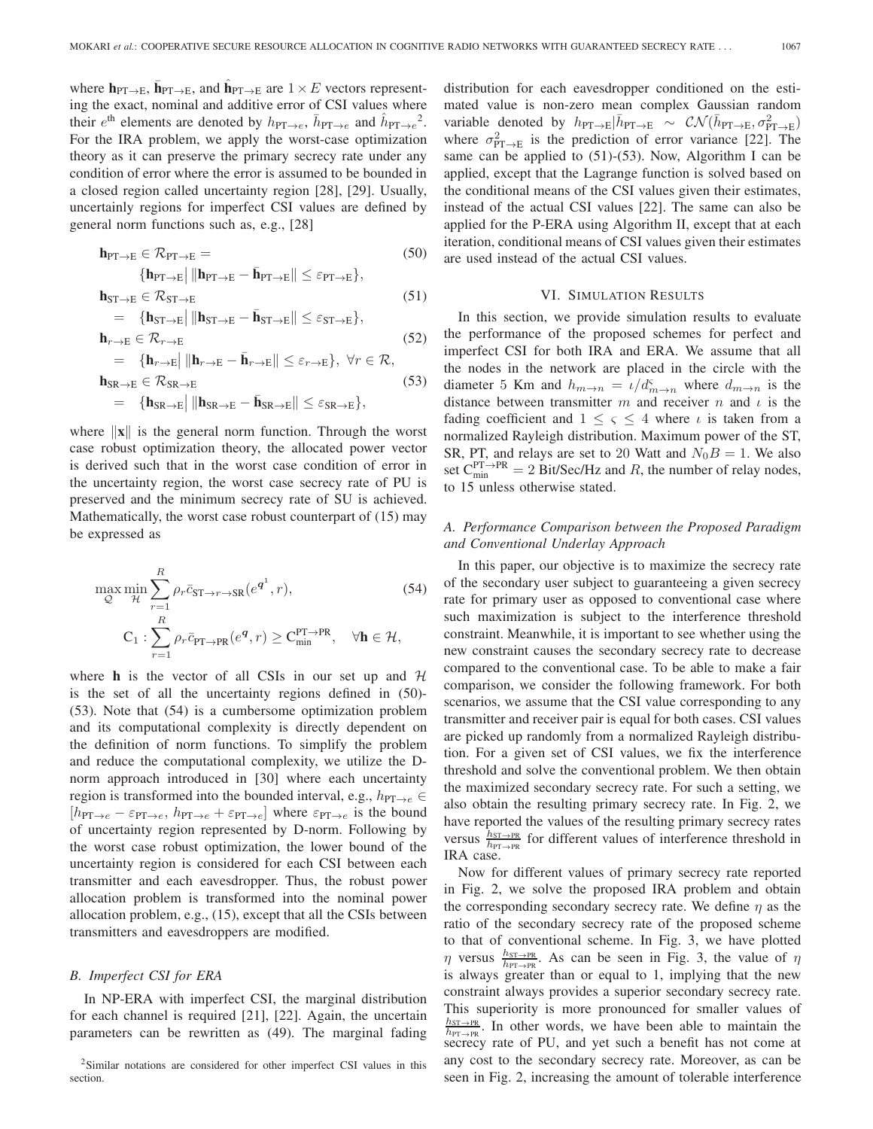where  $h_{PT\to E}$ ,  $h_{PT\to E}$ , and  $h_{PT\to E}$  are  $1 \times E$  vectors representing the exact, nominal and additive error of CSI values where their  $e^{\text{th}}$  elements are denoted by  $h_{\text{PT}\to e}$ ,  $\bar{h}_{\text{PT}\to e}$  and  $\hat{h}_{\text{PT}\to e}^2$ . For the IRA problem, we apply the worst-case optimization theory as it can preserve the primary secrecy rate under any condition of error where the error is assumed to be bounded in a closed region called uncertainty region [28], [29]. Usually, uncertainly regions for imperfect CSI values are defined by general norm functions such as, e.g., [28]

$$
\mathbf{h}_{\text{PT}\to\text{E}} \in \mathcal{R}_{\text{PT}\to\text{E}} = \tag{50}
$$

$$
\{ \mathbf{h}_{PT \to E} \|\|\mathbf{h}_{PT \to E} - \bar{\mathbf{h}}_{PT \to E}\| \le \varepsilon_{PT \to E} \},
$$
  

$$
\mathbf{h}_{ST \to E} \in \mathcal{R}_{ST \to E}
$$
 (51)

$$
\quad = \quad \{\pmb{h}_{ST \to E} \big| \, \| \pmb{h}_{ST \to E} - \bar{\pmb{h}}_{ST \to E} \| \leq \varepsilon_{ST \to E} \},
$$

 $=$   $\subset \mathcal{D}$ 

$$
\mathbf{h}_{r\to E} \in \mathcal{R}_{r\to E} \tag{52}
$$
\n
$$
= \{ \mathbf{h}_{r\to E} \mid \|\mathbf{h}_{r\to E} - \bar{\mathbf{h}}_{r\to E}\| \le \varepsilon_{r\to E} \}, \forall r \in \mathcal{R},
$$
\n
$$
\mathbf{h}_{SR\to E} \in \mathcal{R}_{SR\to E} \tag{53}
$$
\n
$$
= \{ \mathbf{h}_{SR\to E} \mid \|\mathbf{h}_{SR\to E} - \bar{\mathbf{h}}_{SR\to E}\| \le \varepsilon_{SR\to E} \},
$$

where  $\|\mathbf{x}\|$  is the general norm function. Through the worst case robust optimization theory, the allocated power vector is derived such that in the worst case condition of error in the uncertainty region, the worst case secrecy rate of PU is preserved and the minimum secrecy rate of SU is achieved. Mathematically, the worst case robust counterpart of (15) may be expressed as

$$
\max_{\mathcal{Q}} \min_{\mathcal{H}} \sum_{r=1}^{R} \rho_r \bar{c}_{ST \to r \to SR} (e^{\mathbf{q}^1}, r),
$$
\n
$$
C_1: \sum_{r=1}^{R} \rho_r \bar{c}_{PT \to PR} (e^{\mathbf{q}}, r) \ge C_{\min}^{PT \to PR}, \quad \forall \mathbf{h} \in \mathcal{H},
$$
\n(54)

where **h** is the vector of all CSIs in our set up and  $H$ is the set of all the uncertainty regions defined in (50)- (53). Note that (54) is a cumbersome optimization problem and its computational complexity is directly dependent on the definition of norm functions. To simplify the problem and reduce the computational complexity, we utilize the Dnorm approach introduced in [30] where each uncertainty region is transformed into the bounded interval, e.g.,  $h_{PT\rightarrow e} \in$  $[h_{\text{PT}\rightarrow e} - \varepsilon_{\text{PT}\rightarrow e}, h_{\text{PT}\rightarrow e} + \varepsilon_{\text{PT}\rightarrow e}]$  where  $\varepsilon_{\text{PT}\rightarrow e}$  is the bound of uncertainty region represented by D-norm. Following by the worst case robust optimization, the lower bound of the uncertainty region is considered for each CSI between each transmitter and each eavesdropper. Thus, the robust power allocation problem is transformed into the nominal power allocation problem, e.g., (15), except that all the CSIs between transmitters and eavesdroppers are modified.

#### *B. Imperfect CSI for ERA*

In NP-ERA with imperfect CSI, the marginal distribution for each channel is required [21], [22]. Again, the uncertain parameters can be rewritten as (49). The marginal fading distribution for each eavesdropper conditioned on the estimated value is non-zero mean complex Gaussian random variable denoted by  $h_{PT\to E}|h_{PT\to E} \sim \mathcal{CN}(h_{PT\to E}, \sigma_{PT\to E}^2)$ where  $\sigma_{PT\to E}^2$  is the prediction of error variance [22]. The same can be applied to (51)-(53). Now, Algorithm I can be applied, except that the Lagrange function is solved based on the conditional means of the CSI values given their estimates, instead of the actual CSI values [22]. The same can also be applied for the P-ERA using Algorithm II, except that at each iteration, conditional means of CSI values given their estimates are used instead of the actual CSI values.

# VI. SIMULATION RESULTS

In this section, we provide simulation results to evaluate the performance of the proposed schemes for perfect and imperfect CSI for both IRA and ERA. We assume that all the nodes in the network are placed in the circle with the diameter 5 Km and  $h_{m\to n} = \iota/d_{m\to n}^{\mathcal{F}}$  where  $d_{m\to n}$  is the distance between transmitter m and receiver n and  $\iota$  is the distance between transmitter m and receiver n and  $\iota$  is the fading coefficient and  $1 \leq \varsigma \leq 4$  where  $\iota$  is taken from a normalized Rayleigh distribution. Maximum power of the ST, SR, PT, and relays are set to 20 Watt and  $N_0B = 1$ . We also set  $C_{\text{min}}^{\text{PT}\rightarrow \text{PR}} = 2 \text{ Bit/Sec/Hz}$  and R, the number of relay nodes, to 15 unless otherwise stated.

# *A. Performance Comparison between the Proposed Paradigm and Conventional Underlay Approach*

In this paper, our objective is to maximize the secrecy rate of the secondary user subject to guaranteeing a given secrecy rate for primary user as opposed to conventional case where such maximization is subject to the interference threshold constraint. Meanwhile, it is important to see whether using the new constraint causes the secondary secrecy rate to decrease compared to the conventional case. To be able to make a fair comparison, we consider the following framework. For both scenarios, we assume that the CSI value corresponding to any transmitter and receiver pair is equal for both cases. CSI values are picked up randomly from a normalized Rayleigh distribution. For a given set of CSI values, we fix the interference threshold and solve the conventional problem. We then obtain the maximized secondary secrecy rate. For such a setting, we also obtain the resulting primary secrecy rate. In Fig. 2, we have reported the values of the resulting primary secrecy rates versus  $\frac{h_{ST\rightarrow PR}}{h_{PT\rightarrow PR}}$  for different values of interference threshold in IRA case.

Now for different values of primary secrecy rate reported in Fig. 2, we solve the proposed IRA problem and obtain the corresponding secondary secrecy rate. We define  $\eta$  as the ratio of the secondary secrecy rate of the proposed scheme to that of conventional scheme. In Fig. 3, we have plotted  $\eta$  versus  $\frac{h_{ST\rightarrow PR}}{h_{PT\rightarrow PR}}$ . As can be seen in Fig. 3, the value of  $\eta$ is always greater than or equal to 1, implying that the new constraint always provides a superior secondary secrecy rate. This superiority is more pronounced for smaller values of  $\frac{h_{\text{ST}\rightarrow \text{PR}}}{h_{\text{PT}\rightarrow \text{PR}}}$ . In other words, we have been able to maintain the secrecy rate of PU, and yet such a benefit has not come at any cost to the secondary secrecy rate. Moreover, as can be seen in Fig. 2, increasing the amount of tolerable interference

<sup>2</sup>Similar notations are considered for other imperfect CSI values in this section.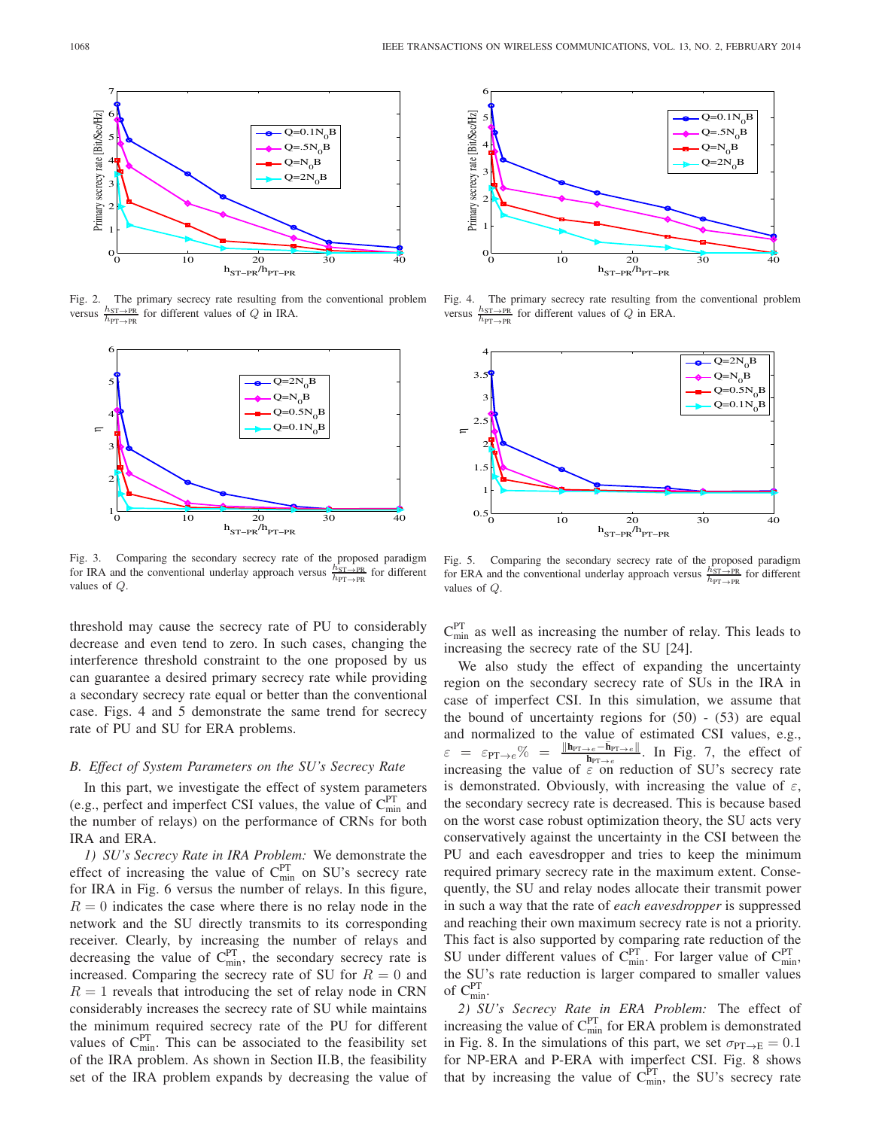

Fig. 2. The primary secrecy rate resulting from the conventional problem versus  $\frac{h_{ST\to PR}}{h_{PT\to PR}}$  for different values of *Q* in IRA.



Fig. 3. Comparing the secondary secrecy rate of the proposed paradigm for IRA and the conventional underlay approach versus  $\frac{h_{ST}\rightarrow PR}{h_{PT\rightarrow PR}}$  for different values of *Q*.

threshold may cause the secrecy rate of PU to considerably decrease and even tend to zero. In such cases, changing the interference threshold constraint to the one proposed by us can guarantee a desired primary secrecy rate while providing a secondary secrecy rate equal or better than the conventional case. Figs. 4 and 5 demonstrate the same trend for secrecy rate of PU and SU for ERA problems.

### *B. Effect of System Parameters on the SU's Secrecy Rate*

In this part, we investigate the effect of system parameters (e.g., perfect and imperfect CSI values, the value of  $C_{\min}^{PT}$  and the number of relays) on the performance of CRNs for both IRA and ERA.

*1) SU's Secrecy Rate in IRA Problem:* We demonstrate the effect of increasing the value of  $C_{\min}^{PT}$  on SU's secrecy rate for IRA in Fig. 6 versus the number of relays. In this figure,  $R = 0$  indicates the case where there is no relay node in the network and the SU directly transmits to its corresponding receiver. Clearly, by increasing the number of relays and decreasing the value of  $C_{\text{min}}^{\text{PT}}$ , the secondary secrecy rate is increased. Comparing the secrecy rate of SU for  $R = 0$  and  $R = 1$  reveals that introducing the set of relay node in CRN considerably increases the secrecy rate of SU while maintains the minimum required secrecy rate of the PU for different values of  $C_{\min}^{PT}$ . This can be associated to the feasibility set of the IRA problem. As shown in Section II.B, the feasibility set of the IRA problem expands by decreasing the value of



Fig. 4. The primary secrecy rate resulting from the conventional problem versus  $\frac{h_{ST\to PR}}{h_{PT\to PR}}$  for different values of *Q* in ERA.



Fig. 5. Comparing the secondary secrecy rate of the proposed paradigm for ERA and the conventional underlay approach versus  $\frac{h_{ST\rightarrow PR}}{h_{PT\rightarrow PR}}$  for different values of *Q*.

 $C_{\min}^{PT}$  as well as increasing the number of relay. This leads to increasing the secrecy rate of the SU [24].

We also study the effect of expanding the uncertainty region on the secondary secrecy rate of SUs in the IRA in case of imperfect CSI. In this simulation, we assume that the bound of uncertainty regions for  $(50)$  -  $(53)$  are equal and normalized to the value of estimated CSI values, e.g.,  $\varepsilon = \varepsilon_{PT\to e}$ % =  $\frac{\Vert \mathbf{h}_{PT\to e} - \overline{\mathbf{h}}_{PT\to e} \Vert}{\overline{\mathbf{h}}_{PT\to e}}$ . In Fig. 7, the effect of increasing the value of  $\varepsilon$  on reduction of SU's secrecy rate is demonstrated. Obviously, with increasing the value of  $\varepsilon$ , the secondary secrecy rate is decreased. This is because based on the worst case robust optimization theory, the SU acts very conservatively against the uncertainty in the CSI between the PU and each eavesdropper and tries to keep the minimum required primary secrecy rate in the maximum extent. Consequently, the SU and relay nodes allocate their transmit power in such a way that the rate of *each eavesdropper* is suppressed and reaching their own maximum secrecy rate is not a priority. This fact is also supported by comparing rate reduction of the SU under different values of  $C_{\text{min}}^{\text{PT}}$ . For larger value of  $C_{\text{min}}^{\text{PT}}$ , the SU's rate reduction is larger compared to smaller values of  $C_{\min}^{PT}$ .

*2) SU's Secrecy Rate in ERA Problem:* The effect of increasing the value of  $C_{\min}^{PT}$  for ERA problem is demonstrated in Fig. 8. In the simulations of this part, we set  $\sigma_{PT\rightarrow E} = 0.1$ for NP-ERA and P-ERA with imperfect CSI. Fig. 8 shows that by increasing the value of  $C_{\text{min}}^{PT}$ , the SU's secrecy rate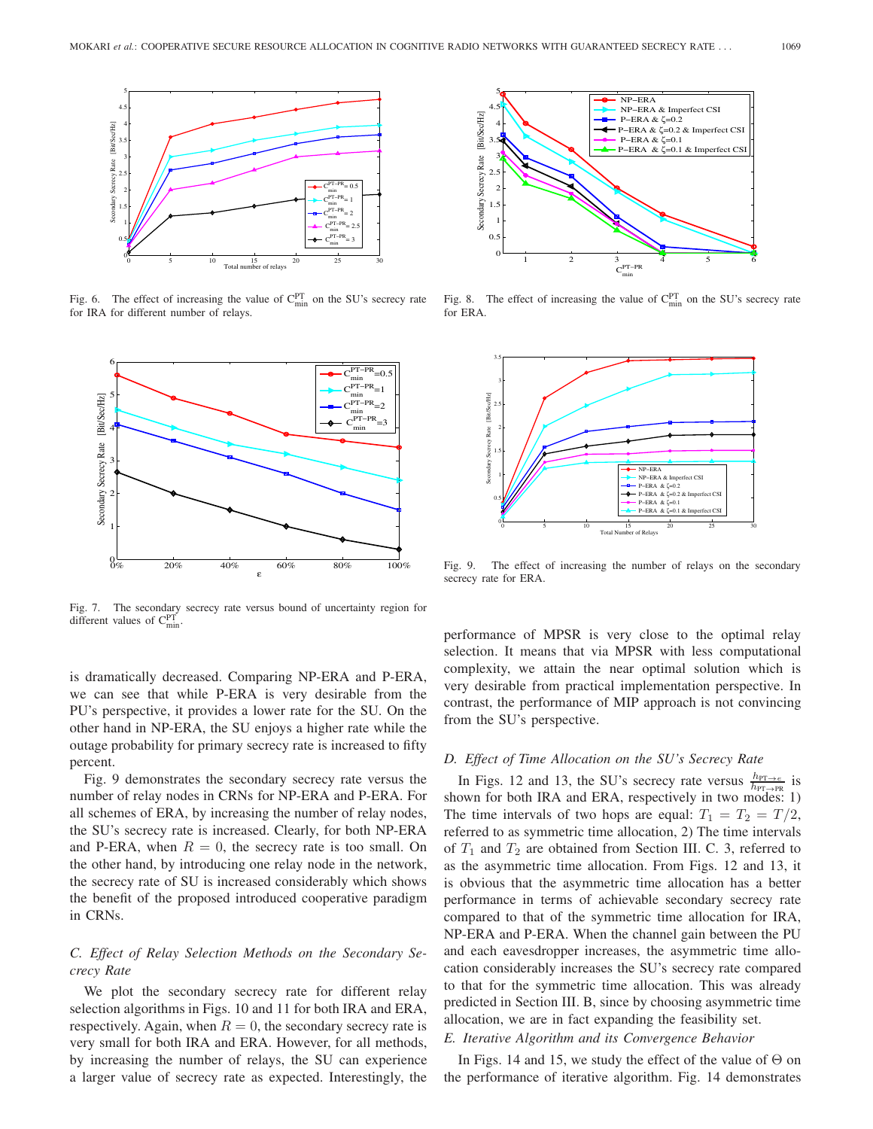

Fig. 6. The effect of increasing the value of  $C_{\text{min}}^{\text{PT}}$  on the SU's secrecy rate for IRA for different number of relays.



Fig. 7. The secondary secrecy rate versus bound of uncertainty region for different values of  $C_{\text{min}}^{\text{PT}}$ .

is dramatically decreased. Comparing NP-ERA and P-ERA, we can see that while P-ERA is very desirable from the PU's perspective, it provides a lower rate for the SU. On the other hand in NP-ERA, the SU enjoys a higher rate while the outage probability for primary secrecy rate is increased to fifty percent.

Fig. 9 demonstrates the secondary secrecy rate versus the number of relay nodes in CRNs for NP-ERA and P-ERA. For all schemes of ERA, by increasing the number of relay nodes, the SU's secrecy rate is increased. Clearly, for both NP-ERA and P-ERA, when  $R = 0$ , the secrecy rate is too small. On the other hand, by introducing one relay node in the network, the secrecy rate of SU is increased considerably which shows the benefit of the proposed introduced cooperative paradigm in CRNs.

# *C. Effect of Relay Selection Methods on the Secondary Secrecy Rate*

We plot the secondary secrecy rate for different relay selection algorithms in Figs. 10 and 11 for both IRA and ERA, respectively. Again, when  $R = 0$ , the secondary secrecy rate is very small for both IRA and ERA. However, for all methods, by increasing the number of relays, the SU can experience a larger value of secrecy rate as expected. Interestingly, the



Fig. 8. The effect of increasing the value of  $C_{\text{min}}^{\text{PT}}$  on the SU's secrecy rate for ERA.



Fig. 9. The effect of increasing the number of relays on the secondary secrecy rate for ERA.

performance of MPSR is very close to the optimal relay selection. It means that via MPSR with less computational complexity, we attain the near optimal solution which is very desirable from practical implementation perspective. In contrast, the performance of MIP approach is not convincing from the SU's perspective.

#### *D. Effect of Time Allocation on the SU's Secrecy Rate*

In Figs. 12 and 13, the SU's secrecy rate versus  $\frac{h_{PT\rightarrow e}}{h_{PT\rightarrow PR}}$  is shown for both IRA and ERA, respectively in two modes: 1) The time intervals of two hops are equal:  $T_1 = T_2 = T/2$ , referred to as symmetric time allocation, 2) The time intervals of  $T_1$  and  $T_2$  are obtained from Section III. C. 3, referred to as the asymmetric time allocation. From Figs. 12 and 13, it is obvious that the asymmetric time allocation has a better performance in terms of achievable secondary secrecy rate compared to that of the symmetric time allocation for IRA, NP-ERA and P-ERA. When the channel gain between the PU and each eavesdropper increases, the asymmetric time allocation considerably increases the SU's secrecy rate compared to that for the symmetric time allocation. This was already predicted in Section III. B, since by choosing asymmetric time allocation, we are in fact expanding the feasibility set.

# *E. Iterative Algorithm and its Convergence Behavior*

In Figs. 14 and 15, we study the effect of the value of  $\Theta$  on the performance of iterative algorithm. Fig. 14 demonstrates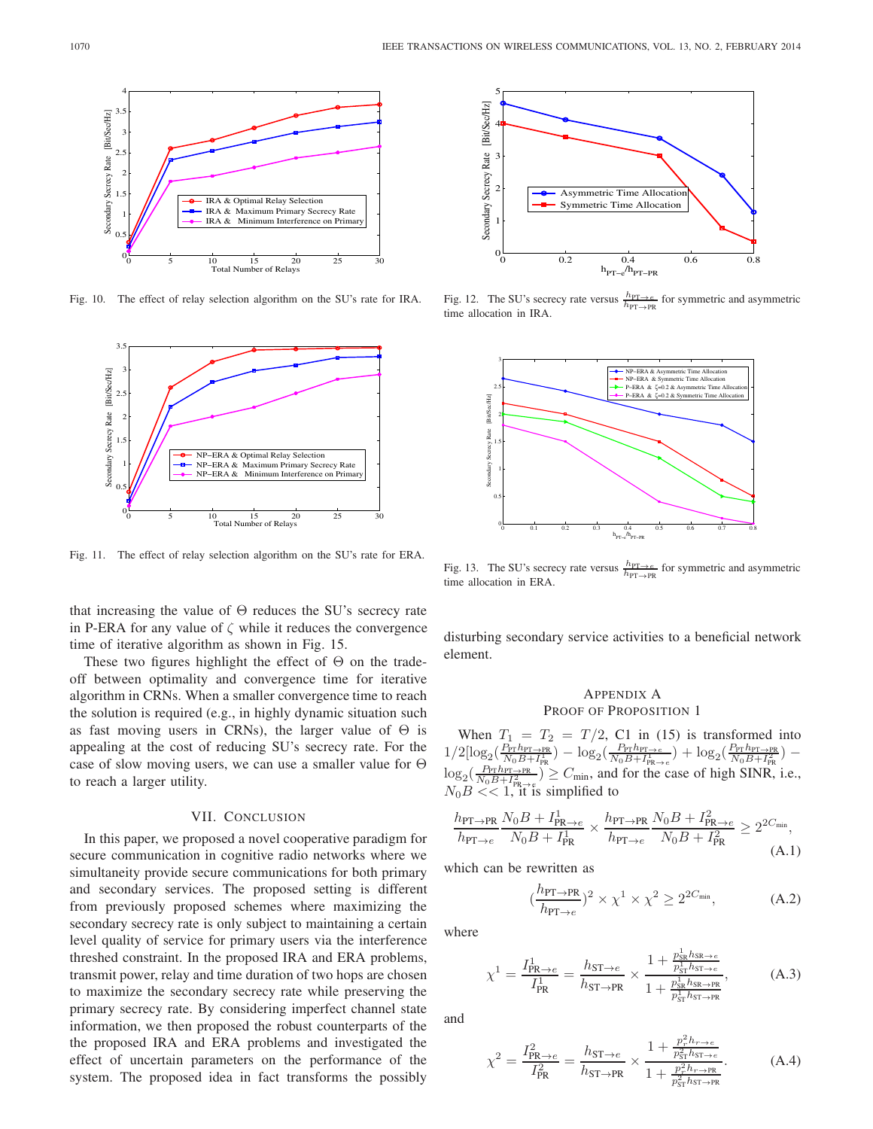

Fig. 10. The effect of relay selection algorithm on the SU's rate for IRA.



Fig. 11. The effect of relay selection algorithm on the SU's rate for ERA.

that increasing the value of  $\Theta$  reduces the SU's secrecy rate in P-ERA for any value of  $\zeta$  while it reduces the convergence time of iterative algorithm as shown in Fig. 15.

These two figures highlight the effect of  $\Theta$  on the tradeoff between optimality and convergence time for iterative algorithm in CRNs. When a smaller convergence time to reach the solution is required (e.g., in highly dynamic situation such as fast moving users in CRNs), the larger value of  $\Theta$  is appealing at the cost of reducing SU's secrecy rate. For the case of slow moving users, we can use a smaller value for Θ to reach a larger utility.

# VII. CONCLUSION

In this paper, we proposed a novel cooperative paradigm for secure communication in cognitive radio networks where we simultaneity provide secure communications for both primary and secondary services. The proposed setting is different from previously proposed schemes where maximizing the secondary secrecy rate is only subject to maintaining a certain level quality of service for primary users via the interference threshed constraint. In the proposed IRA and ERA problems, transmit power, relay and time duration of two hops are chosen to maximize the secondary secrecy rate while preserving the primary secrecy rate. By considering imperfect channel state information, we then proposed the robust counterparts of the the proposed IRA and ERA problems and investigated the effect of uncertain parameters on the performance of the system. The proposed idea in fact transforms the possibly



Fig. 12. The SU's secrecy rate versus  $\frac{h_{PT\rightarrow e}}{h_{PT\rightarrow PR}}$  for symmetric and asymmetric time allocation in IPA time allocation in IRA.



Fig. 13. The SU's secrecy rate versus  $\frac{h_{PT\rightarrow e}}{h_{PT\rightarrow PR}}$  for symmetric and asymmetric time allocation in FB *h* time allocation in ERA.

disturbing secondary service activities to a beneficial network element.

# APPENDIX A PROOF OF PROPOSITION 1

When  $T_1 = T_2 = T/2$ , C1 in (15) is transformed into<br>  $2\left[2\cos\left(\frac{Prh_{PT\rightarrow PR}}{P}\right) - \log\left(\frac{Prh_{PT\rightarrow CR}}{P}\right) + \log\left(\frac{Prh_{PT\rightarrow PR}}{P}\right)\right]$  $1/2\left[\log_2\left(\frac{Pr\ln_{\text{PT}}}{N_0B+I_{\text{PR}}^{\text{R}}}\right) - \log_2\left(\frac{Pr\ln_{\text{PT}}}{N_0B+I_{\text{PR}}^{\text{R}}}\right) + \log_2\left(\frac{Pr\ln_{\text{TP}}}{N_0B+I_{\text{PR}}^{\text{R}}}\right)\right]$  $\log_2(\frac{P_T h_{PT\rightarrow PR}}{N_0 B + I_{T_0}^2 + I_{R_0}^2}) \geq C_{\text{min}}$ , and for the case of high SINR, i.e.,  $N_0B << 1$ , it is simplified to

$$
\frac{h_{\text{PT}\rightarrow\text{PR}}}{h_{\text{PT}\rightarrow e}} \frac{N_0 B + I_{\text{PR}\rightarrow e}^1}{N_0 B + I_{\text{PR}}^1} \times \frac{h_{\text{PT}\rightarrow\text{PR}}}{h_{\text{PT}\rightarrow e}} \frac{N_0 B + I_{\text{PR}\rightarrow e}^2}{N_0 B + I_{\text{PR}}^2} \ge 2^{2C_{\text{min}}},\tag{A.1}
$$

which can be rewritten as

$$
\left(\frac{h_{\text{PT}\to\text{PR}}}{h_{\text{PT}\to e}}\right)^2 \times \chi^1 \times \chi^2 \ge 2^{2C_{\text{min}}},\tag{A.2}
$$

where

$$
\chi^{1} = \frac{I_{\text{PR}\to e}^{1}}{I_{\text{PR}}^{1}} = \frac{h_{\text{ST}\to e}}{h_{\text{ST}\to\text{PR}}} \times \frac{1 + \frac{p_{\text{SR}}^{1} h_{\text{SR}\to e}}{p_{\text{ST}}^{1} h_{\text{ST}\to e}}}{1 + \frac{p_{\text{SR}}^{1} h_{\text{SR}\to\text{PR}}}{p_{\text{ST}}^{1} h_{\text{ST}\to\text{PR}}}},
$$
(A.3)

and

$$
\chi^2 = \frac{I_{\text{PR}\to e}^2}{I_{\text{PR}}^2} = \frac{h_{\text{ST}\to e}}{h_{\text{ST}\to\text{PR}}} \times \frac{1 + \frac{p_r^2 h_{r\to e}}{p_{\text{ST}}^2 h_{\text{ST}\to e}}}{1 + \frac{p_r^2 h_{r\to\text{PR}}}{p_{\text{ST}}^2 h_{\text{ST}\to\text{PR}}}}.
$$
 (A.4)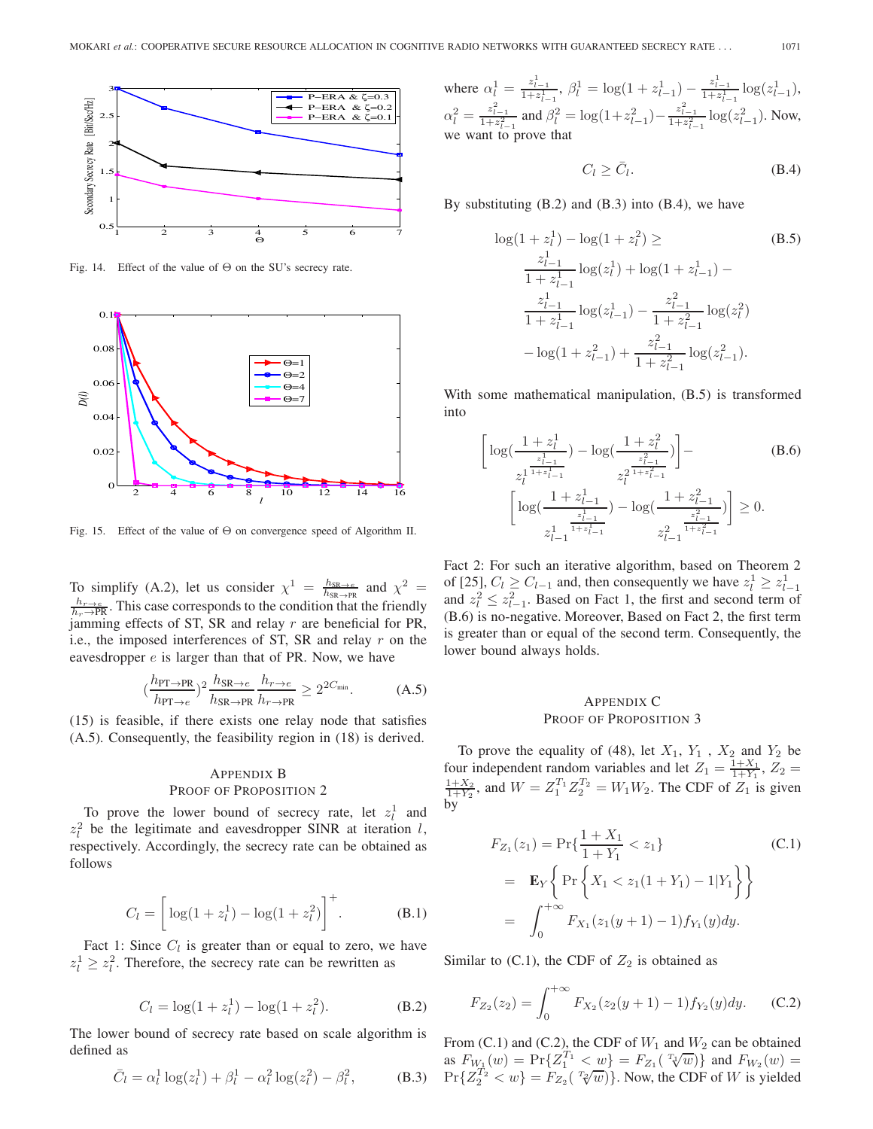

Fig. 14. Effect of the value of  $\Theta$  on the SU's secrecy rate.



Fig. 15. Effect of the value of Θ on convergence speed of Algorithm II.

To simplify (A.2), let us consider  $\chi^1 = \frac{h_{\text{SR}\rightarrow\text{Fe}}}{h_{\text{SR}\rightarrow\text{PR}}}$  and  $\chi^2 = \frac{h_{\text{r}\rightarrow\text{Fe}}}{h_{\text{r}\rightarrow\text{PR}}}$ . This case corresponds to the condition that the friendly jamming effects of ST, SR and relay  $r$  are beneficial for PR, i.e., the imposed interferences of ST, SR and relay r on the eavesdropper e is larger than that of PR. Now, we have

$$
\left(\frac{h_{\text{PT}\to\text{PR}}}{h_{\text{PT}\to e}}\right)^2 \frac{h_{\text{SR}\to e}}{h_{\text{SR}\to\text{PR}}} \frac{h_{r\to e}}{h_{r\to\text{PR}}} \ge 2^{2C_{\min}}.\tag{A.5}
$$

(15) is feasible, if there exists one relay node that satisfies (A.5). Consequently, the feasibility region in (18) is derived.

# APPENDIX B PROOF OF PROPOSITION 2

To prove the lower bound of secrecy rate, let  $z_l^1$  and  $z_l^2$  be the legitimate and eavesdropper SINR at iteration l, respectively. Accordingly, the secrecy rate can be obtained as follows

$$
C_l = \left[ \log(1 + z_l^1) - \log(1 + z_l^2) \right]^+.
$$
 (B.1)

Fact 1: Since  $C_l$  is greater than or equal to zero, we have  $z_l^1 \geq z_l^2$ . Therefore, the secrecy rate can be rewritten as

$$
C_l = \log(1 + z_l^1) - \log(1 + z_l^2). \tag{B.2}
$$

The lower bound of secrecy rate based on scale algorithm is defined as

$$
\bar{C}_l = \alpha_l^1 \log(z_l^1) + \beta_l^1 - \alpha_l^2 \log(z_l^2) - \beta_l^2,
$$
 (B.3)

where  $\alpha_l^1 = \frac{z_{l-1}^1}{1+z_{l-1}^1}, \beta_l^1 = \log(1+z_{l-1}^1) - \frac{z_{l-1}^1}{1+z_{l-1}^1} \log(z_{l-1}^1),$  $\alpha_l^2 = \frac{z_{l-1}^2}{1+z_{l-1}^2}$  and  $\beta_l^2 = \log(1+z_{l-1}^2) - \frac{z_{l-1}^2}{1+z_{l-1}^2} \log(z_{l-1}^2)$ . Now, we want to prove that

$$
C_l \geq \bar{C}_l. \tag{B.4}
$$

By substituting  $(B.2)$  and  $(B.3)$  into  $(B.4)$ , we have

$$
\log(1 + z_l^1) - \log(1 + z_l^2) \ge \tag{B.5}
$$
  
\n
$$
\frac{z_{l-1}^1}{1 + z_{l-1}^1} \log(z_l^1) + \log(1 + z_{l-1}^1) -
$$
  
\n
$$
\frac{z_{l-1}^1}{1 + z_{l-1}^1} \log(z_{l-1}^1) - \frac{z_{l-1}^2}{1 + z_{l-1}^2} \log(z_l^2)
$$
  
\n
$$
- \log(1 + z_{l-1}^2) + \frac{z_{l-1}^2}{1 + z_{l-1}^2} \log(z_{l-1}^2).
$$

With some mathematical manipulation, (B.5) is transformed into

$$
\left[\log\left(\frac{1+z_l^1}{z_{l-1}^{1-\frac{z_{l-1}^1}{z_{l-1}^1}}}\right)-\log\left(\frac{1+z_l^2}{z_l^{2\frac{z_{l-1}^2}{1+z_{l-1}^2}}}\right)\right] - \qquad (B.6)
$$
  

$$
\left[\log\left(\frac{1+z_{l-1}^1}{z_{l-1}^{1-\frac{z_{l-1}^1}{1+z_{l-1}^1}}}\right)-\log\left(\frac{1+z_{l-1}^2}{z_{l-1}^{2\frac{z_{l-1}^2}{1+z_{l-1}^2}}}\right)\right] \ge 0.
$$

Fact 2: For such an iterative algorithm, based on Theorem 2 of [25],  $C_l \ge C_{l-1}$  and, then consequently we have  $z_l^1 \ge z_{l-1}^1$ and  $z_l^2 \leq z_{l-1}^2$ . Based on Fact 1, the first and second term of (B.6) is no-negative. Moreover, Based on Fact 2, the first term is greater than or equal of the second term. Consequently, the lower bound always holds.

# APPENDIX C PROOF OF PROPOSITION 3

To prove the equality of (48), let  $X_1$ ,  $Y_1$ ,  $X_2$  and  $Y_2$  be four independent random variables and let  $Z_1 = \frac{1+X_1}{1+Y_1}$ ,  $Z_2 = \frac{1+X_2}{1+Y_2}$  and  $W = Z^{T_1}Z^{T_2} - W_1W_2$ . The CDE of  $Z_1$  is given  $\frac{1+X_2}{1+Y_2}$ , and  $W = Z_1^{T_1} Z_2^{T_2} = W_1 W_2$ . The CDF of  $Z_1$  is given by

$$
F_{Z_1}(z_1) = \Pr\{\frac{1+X_1}{1+Y_1} < z_1\} \tag{C.1}
$$
\n
$$
= \mathbf{E}_Y \left\{ \Pr\left\{ X_1 < z_1(1+Y_1) - 1 | Y_1 \right\} \right\}
$$
\n
$$
= \int_0^{+\infty} F_{X_1}(z_1(y+1) - 1) f_{Y_1}(y) dy.
$$

Similar to (C.1), the CDF of  $Z_2$  is obtained as

$$
F_{Z_2}(z_2) = \int_0^{+\infty} F_{X_2}(z_2(y+1) - 1) f_{Y_2}(y) dy.
$$
 (C.2)

From (C.1) and (C.2), the CDF of  $W_1$  and  $W_2$  can be obtained From (C.1) and (C.2), the CDF of  $W_1$  and  $W_2$  can be obtained<br>as  $F_{W_1}(w) = \Pr\{Z_1^{T_1} < w\} = F_{Z_1}(\sqrt[T_1]{w})\}$  and  $F_{W_2}(w) =$ <br> $\Pr\{Z_1^{T_2} < w\} = F_{Z_1}(\sqrt[T_2]{w})$ . Now the CDE of W is vielded as  $T_{W_1}(w) = T_1 Z_1^2 \le w_f^2 - T_{Z_1}(w) \le T_{W_2}(w) - T_1 Z_2^2 < w_f^2 = F_{Z_2}(w)$ . Now, the CDF of W is yielded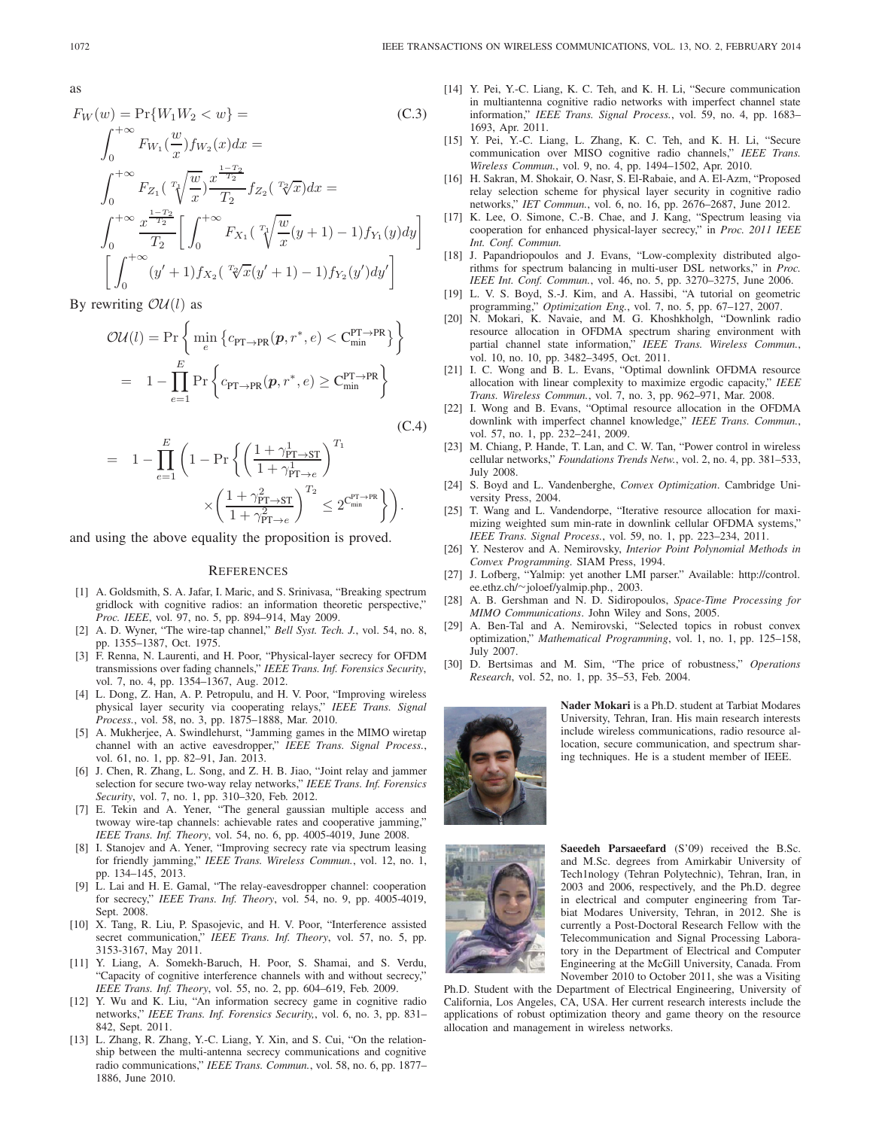as

$$
F_W(w) = \Pr\{W_1 W_2 < w\} = \tag{C.3}
$$
\n
$$
\int_0^{+\infty} F_{W_1}(\frac{w}{x}) f_{W_2}(x) dx =
$$
\n
$$
\int_0^{+\infty} F_{Z_1}(\sqrt[T_1]{\frac{w}{x}}) \frac{x^{\frac{1-T_2}{T_2}}}{T_2} f_{Z_2}(\sqrt[T_2]{x}) dx =
$$
\n
$$
\int_0^{+\infty} \frac{x^{\frac{1-T_2}{T_2}}}{T_2} \left[ \int_0^{+\infty} F_{X_1}(\sqrt[T_1]{\frac{w}{x}} (y+1) - 1) f_{Y_1}(y) dy \right]
$$
\n
$$
\left[ \int_0^{+\infty} (y'+1) f_{X_2}(\sqrt[T_2]{x} (y'+1) - 1) f_{Y_2}(y') dy' \right]
$$

By rewriting  $OU(l)$  as

$$
\mathcal{O}\mathcal{U}(l) = \Pr\left\{\min_{e} \left\{c_{\text{PT}\rightarrow\text{PR}}(\boldsymbol{p}, r^*, e) < C_{\min}^{\text{PT}\rightarrow\text{PR}}\right\}\right\}
$$
\n
$$
= 1 - \prod_{e=1}^{E} \Pr\left\{c_{\text{PT}\rightarrow\text{PR}}(\boldsymbol{p}, r^*, e) \geq C_{\min}^{\text{PT}\rightarrow\text{PR}}\right\}
$$

$$
= 1 - \prod_{e=1}^{E} \left( 1 - \Pr\left\{ \left( \frac{1 + \gamma_{\text{PT}\to\text{ST}}^1}{1 + \gamma_{\text{PT}\to e}^1} \right)^{T_1} \times \left( \frac{1 + \gamma_{\text{PT}\to\text{ST}}^2}{1 + \gamma_{\text{PT}\to e}^2} \right)^{T_2} \leq 2^{C_{\min}^{\text{PT}\to\text{PR}}} \right\} \right).
$$

and using the above equality the proposition is proved.

#### **REFERENCES**

- [1] A. Goldsmith, S. A. Jafar, I. Maric, and S. Srinivasa, "Breaking spectrum gridlock with cognitive radios: an information theoretic perspective," *Proc. IEEE*, vol. 97, no. 5, pp. 894–914, May 2009.
- [2] A. D. Wyner, "The wire-tap channel," *Bell Syst. Tech. J.*, vol. 54, no. 8, pp. 1355–1387, Oct. 1975.
- [3] F. Renna, N. Laurenti, and H. Poor, "Physical-layer secrecy for OFDM transmissions over fading channels," *IEEE Trans. Inf. Forensics Security*, vol. 7, no. 4, pp. 1354–1367, Aug. 2012.
- [4] L. Dong, Z. Han, A. P. Petropulu, and H. V. Poor, "Improving wireless physical layer security via cooperating relays," *IEEE Trans. Signal Process.*, vol. 58, no. 3, pp. 1875–1888, Mar. 2010.
- [5] A. Mukherjee, A. Swindlehurst, "Jamming games in the MIMO wiretap channel with an active eavesdropper," *IEEE Trans. Signal Process.*, vol. 61, no. 1, pp. 82–91, Jan. 2013.
- [6] J. Chen, R. Zhang, L. Song, and Z. H. B. Jiao, "Joint relay and jammer selection for secure two-way relay networks," *IEEE Trans. Inf. Forensics Security*, vol. 7, no. 1, pp. 310–320, Feb. 2012.
- [7] E. Tekin and A. Yener, "The general gaussian multiple access and twoway wire-tap channels: achievable rates and cooperative jamming,' *IEEE Trans. Inf. Theory*, vol. 54, no. 6, pp. 4005-4019, June 2008.
- [8] I. Stanojev and A. Yener, "Improving secrecy rate via spectrum leasing for friendly jamming," *IEEE Trans. Wireless Commun.*, vol. 12, no. 1, pp. 134–145, 2013.
- [9] L. Lai and H. E. Gamal, "The relay-eavesdropper channel: cooperation for secrecy," *IEEE Trans. Inf. Theory*, vol. 54, no. 9, pp. 4005-4019, Sept. 2008.
- [10] X. Tang, R. Liu, P. Spasojevic, and H. V. Poor, "Interference assisted secret communication," *IEEE Trans. Inf. Theory*, vol. 57, no. 5, pp. 3153-3167, May 2011.
- [11] Y. Liang, A. Somekh-Baruch, H. Poor, S. Shamai, and S. Verdu, "Capacity of cognitive interference channels with and without secrecy," *IEEE Trans. Inf. Theory*, vol. 55, no. 2, pp. 604–619, Feb. 2009.
- [12] Y. Wu and K. Liu, "An information secrecy game in cognitive radio networks," *IEEE Trans. Inf. Forensics Security,*, vol. 6, no. 3, pp. 831– 842, Sept. 2011.
- [13] L. Zhang, R. Zhang, Y.-C. Liang, Y. Xin, and S. Cui, "On the relationship between the multi-antenna secrecy communications and cognitive radio communications," *IEEE Trans. Commun.*, vol. 58, no. 6, pp. 1877– 1886, June 2010.
- [14] Y. Pei, Y.-C. Liang, K. C. Teh, and K. H. Li, "Secure communication in multiantenna cognitive radio networks with imperfect channel state information," *IEEE Trans. Signal Process.*, vol. 59, no. 4, pp. 1683– 1693, Apr. 2011.
- [15] Y. Pei, Y.-C. Liang, L. Zhang, K. C. Teh, and K. H. Li, "Secure communication over MISO cognitive radio channels," *IEEE Trans. Wireless Commun.*, vol. 9, no. 4, pp. 1494–1502, Apr. 2010.
- [16] H. Sakran, M. Shokair, O. Nasr, S. El-Rabaie, and A. El-Azm, "Proposed relay selection scheme for physical layer security in cognitive radio networks," *IET Commun.*, vol. 6, no. 16, pp. 2676–2687, June 2012.
- [17] K. Lee, O. Simone, C.-B. Chae, and J. Kang, "Spectrum leasing via cooperation for enhanced physical-layer secrecy," in *Proc. 2011 IEEE Int. Conf. Commun.*
- [18] J. Papandriopoulos and J. Evans, "Low-complexity distributed algorithms for spectrum balancing in multi-user DSL networks," in *Proc. IEEE Int. Conf. Commun.*, vol. 46, no. 5, pp. 3270–3275, June 2006.
- [19] L. V. S. Boyd, S.-J. Kim, and A. Hassibi, "A tutorial on geometric programming," *Optimization Eng.*, vol. 7, no. 5, pp. 67–127, 2007.
- [20] N. Mokari, K. Navaie, and M. G. Khoshkholgh, "Downlink radio resource allocation in OFDMA spectrum sharing environment with partial channel state information," *IEEE Trans. Wireless Commun.*, vol. 10, no. 10, pp. 3482–3495, Oct. 2011.
- [21] I. C. Wong and B. L. Evans, "Optimal downlink OFDMA resource allocation with linear complexity to maximize ergodic capacity," *IEEE Trans. Wireless Commun.*, vol. 7, no. 3, pp. 962–971, Mar. 2008.
- [22] I. Wong and B. Evans, "Optimal resource allocation in the OFDMA downlink with imperfect channel knowledge," *IEEE Trans. Commun.*, vol. 57, no. 1, pp. 232–241, 2009.
- [23] M. Chiang, P. Hande, T. Lan, and C. W. Tan, "Power control in wireless cellular networks," *Foundations Trends Netw.*, vol. 2, no. 4, pp. 381–533, July 2008.
- [24] S. Boyd and L. Vandenberghe, *Convex Optimization*. Cambridge University Press, 2004.
- [25] T. Wang and L. Vandendorpe, "Iterative resource allocation for maximizing weighted sum min-rate in downlink cellular OFDMA systems," *IEEE Trans. Signal Process.*, vol. 59, no. 1, pp. 223–234, 2011.
- [26] Y. Nesterov and A. Nemirovsky, *Interior Point Polynomial Methods in Convex Programming.* SIAM Press, 1994.
- [27] J. Lofberg, "Yalmip: yet another LMI parser." Available: http://control. ee.ethz.ch/∼joloef/yalmip.php., 2003.
- [28] A. B. Gershman and N. D. Sidiropoulos, *Space-Time Processing for MIMO Communications*. John Wiley and Sons, 2005.
- [29] A. Ben-Tal and A. Nemirovski, "Selected topics in robust convex optimization," *Mathematical Programming*, vol. 1, no. 1, pp. 125–158, July 2007.
- [30] D. Bertsimas and M. Sim, "The price of robustness," *Operations Research*, vol. 52, no. 1, pp. 35–53, Feb. 2004.



 $(C.4)$ 

**Nader Mokari** is a Ph.D. student at Tarbiat Modares University, Tehran, Iran. His main research interests include wireless communications, radio resource allocation, secure communication, and spectrum sharing techniques. He is a student member of IEEE.



**Saeedeh Parsaeefard** (S'09) received the B.Sc. and M.Sc. degrees from Amirkabir University of Tech1nology (Tehran Polytechnic), Tehran, Iran, in 2003 and 2006, respectively, and the Ph.D. degree in electrical and computer engineering from Tarbiat Modares University, Tehran, in 2012. She is currently a Post-Doctoral Research Fellow with the Telecommunication and Signal Processing Laboratory in the Department of Electrical and Computer Engineering at the McGill University, Canada. From November 2010 to October 2011, she was a Visiting

Ph.D. Student with the Department of Electrical Engineering, University of California, Los Angeles, CA, USA. Her current research interests include the applications of robust optimization theory and game theory on the resource allocation and management in wireless networks.